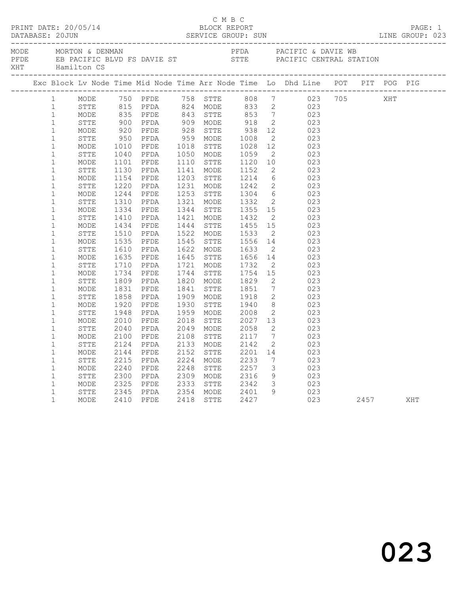|              |                        |      |              |                        |           |                                  |                         | MORTON & DENMAN PEDA PEDA PACIFIC & DAVIE WE BE PACIFIC BLVD FS DAVIE ST STTE PACIFIC CENTRAL STATION THAN Hamilton CS                                                                                                                              |  |  |  |
|--------------|------------------------|------|--------------|------------------------|-----------|----------------------------------|-------------------------|-----------------------------------------------------------------------------------------------------------------------------------------------------------------------------------------------------------------------------------------------------|--|--|--|
|              |                        |      |              |                        |           |                                  |                         | Exc Block Lv Node Time Mid Node Time Arr Node Time Lo Dhd Line POT PIT POG PIG                                                                                                                                                                      |  |  |  |
|              | $1 \quad \blacksquare$ |      |              |                        |           |                                  |                         |                                                                                                                                                                                                                                                     |  |  |  |
| 1            |                        |      |              |                        |           |                                  |                         |                                                                                                                                                                                                                                                     |  |  |  |
| $\mathbf{1}$ |                        | MODE |              |                        |           |                                  |                         |                                                                                                                                                                                                                                                     |  |  |  |
| $\mathbf{1}$ |                        |      |              |                        |           |                                  |                         |                                                                                                                                                                                                                                                     |  |  |  |
| $1\,$        |                        |      |              |                        |           |                                  |                         |                                                                                                                                                                                                                                                     |  |  |  |
| $\mathbf{1}$ |                        |      |              |                        |           |                                  |                         |                                                                                                                                                                                                                                                     |  |  |  |
| $\mathbf{1}$ |                        |      |              |                        |           |                                  |                         |                                                                                                                                                                                                                                                     |  |  |  |
| $\mathbf{1}$ |                        |      |              |                        |           |                                  |                         |                                                                                                                                                                                                                                                     |  |  |  |
| $1\,$        |                        |      |              |                        |           |                                  |                         |                                                                                                                                                                                                                                                     |  |  |  |
| $\mathbf{1}$ |                        |      |              |                        |           |                                  |                         |                                                                                                                                                                                                                                                     |  |  |  |
| $\mathbf{1}$ |                        |      |              |                        |           |                                  |                         |                                                                                                                                                                                                                                                     |  |  |  |
| $\mathbf 1$  |                        |      |              |                        |           |                                  |                         |                                                                                                                                                                                                                                                     |  |  |  |
| $\mathbf{1}$ |                        |      |              |                        |           |                                  |                         |                                                                                                                                                                                                                                                     |  |  |  |
| $1\,$        |                        |      |              |                        |           |                                  |                         |                                                                                                                                                                                                                                                     |  |  |  |
| $\mathbf{1}$ |                        | MODE |              | 1334 PFDE<br>1410 PFDA |           |                                  |                         |                                                                                                                                                                                                                                                     |  |  |  |
| $\mathbf{1}$ |                        | STTE |              |                        |           |                                  |                         | 1344 STTE 1355 15<br>1421 MODE 1432 2 023<br>1444 STTE 1455 15 023<br>1522 MODE 1533 2 023<br>1525 MODE 1533 2 023                                                                                                                                  |  |  |  |
| $\mathbf{1}$ |                        | MODE | 1434<br>1510 | PFDE                   |           |                                  |                         |                                                                                                                                                                                                                                                     |  |  |  |
| $1\,$        |                        | STTE |              | PFDA                   |           |                                  |                         | 1522 MODE 1533 2 023<br>1545 STTE 1556 14 023<br>1622 MODE 1633 2 023<br>1645 STTE 1656 14 023<br>1721 MODE 1732 2 023<br>1744 STTE 1754 15 023<br>1820 MODE 1829 2 023<br>1841 STTE 1851 7 023<br>1909 MODE 1918 2 023<br>1909 MODE 1918 2 023<br> |  |  |  |
| $\mathbf 1$  |                        | MODE | 1535<br>1610 | PFDE                   |           |                                  |                         |                                                                                                                                                                                                                                                     |  |  |  |
| $\mathbf 1$  |                        | STTE |              | PFDA                   |           |                                  |                         |                                                                                                                                                                                                                                                     |  |  |  |
| $\mathbf{1}$ |                        | MODE | 1635<br>1710 | PFDE                   |           |                                  |                         |                                                                                                                                                                                                                                                     |  |  |  |
| $1\,$        |                        | STTE |              | PFDA                   |           |                                  |                         |                                                                                                                                                                                                                                                     |  |  |  |
| $\mathbf{1}$ |                        | MODE | 1734<br>1809 | PFDE                   |           |                                  |                         |                                                                                                                                                                                                                                                     |  |  |  |
| $\mathbf 1$  |                        | STTE |              | PFDA                   |           |                                  |                         |                                                                                                                                                                                                                                                     |  |  |  |
| $\mathbf{1}$ |                        | MODE | 1831<br>1858 | PFDE                   |           |                                  |                         |                                                                                                                                                                                                                                                     |  |  |  |
| $\mathbf{1}$ |                        | STTE |              | PFDA                   |           |                                  |                         |                                                                                                                                                                                                                                                     |  |  |  |
| $\mathbf{1}$ |                        | MODE | 1920         | PFDE                   |           |                                  |                         |                                                                                                                                                                                                                                                     |  |  |  |
| $1\,$        |                        | STTE | 1948         | PFDA                   |           |                                  |                         |                                                                                                                                                                                                                                                     |  |  |  |
| $1\,$        |                        | MODE | 2010         | PFDE                   |           | 2018 STTE 2027<br>2049 MODE 2058 |                         | 13 023                                                                                                                                                                                                                                              |  |  |  |
| $1\,$        |                        | STTE | 2040         | PFDA                   |           |                                  | $\overline{2}$          | 023                                                                                                                                                                                                                                                 |  |  |  |
| $\mathbf{1}$ |                        | MODE | 2100         | PFDE                   | 2108 STTE | $\frac{2117}{2142}$              |                         | $7 \qquad 023$                                                                                                                                                                                                                                      |  |  |  |
| $\mathbf 1$  |                        | STTE | 2124         | PFDA                   | 2133 MODE |                                  | $\overline{2}$          | 023                                                                                                                                                                                                                                                 |  |  |  |
| $1\,$        |                        | MODE | 2144         | PFDE                   | 2152 STTE | 2201 14                          |                         | 023                                                                                                                                                                                                                                                 |  |  |  |
| $\mathbf{1}$ |                        | STTE | 2215<br>2240 | PFDA                   | 2224 MODE | 2233                             | $7\overline{ }$         | 023                                                                                                                                                                                                                                                 |  |  |  |
| $\mathbf{1}$ |                        | MODE |              | PFDE                   | 2248 STTE | 2257                             | $\overline{\mathbf{3}}$ | 023                                                                                                                                                                                                                                                 |  |  |  |
| $\mathbf{1}$ |                        | STTE | 2300<br>2325 | PFDA                   |           | 2309 MODE 2316<br>2333 STTE 2342 |                         | $\begin{array}{ccc} 9 & & 023 \\ 3 & & 023 \end{array}$                                                                                                                                                                                             |  |  |  |
| $\mathbf{1}$ |                        | MODE |              | PFDE                   |           |                                  |                         |                                                                                                                                                                                                                                                     |  |  |  |
| $\mathbf{1}$ |                        | STTE |              | 2345 PFDA<br>2410 PFDE |           |                                  |                         |                                                                                                                                                                                                                                                     |  |  |  |
| $\mathbf{1}$ |                        | MODE |              |                        |           |                                  |                         |                                                                                                                                                                                                                                                     |  |  |  |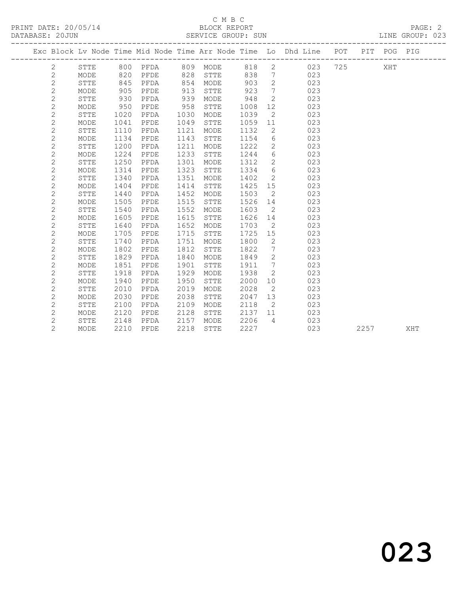#### C M B C<br>BLOCK REPORT SERVICE GROUP: SUN

|  |                |             |      |      |      |              |      |                              | Exc Block Lv Node Time Mid Node Time Arr Node Time Lo Dhd Line POT PIT POG PIG |      |     |     |
|--|----------------|-------------|------|------|------|--------------|------|------------------------------|--------------------------------------------------------------------------------|------|-----|-----|
|  | 2              | STTE        |      |      |      |              |      |                              |                                                                                |      | XHT |     |
|  | $\mathbf{2}$   | MODE        | 820  | PFDE | 828  | STTE         | 838  | $\overline{7}$               | 023                                                                            |      |     |     |
|  | $\mathbf{2}$   | STTE        | 845  | PFDA | 854  | MODE         | 903  | $\overline{2}$               | 023                                                                            |      |     |     |
|  | $\mathbf{2}$   | MODE        | 905  | PFDE | 913  | STTE         | 923  | 7                            | 023                                                                            |      |     |     |
|  | $\mathbf{2}$   | STTE        | 930  | PFDA | 939  | MODE         | 948  | $\overline{2}$               | 023                                                                            |      |     |     |
|  | $\mathbf{2}$   | MODE        | 950  | PFDE | 958  | STTE         | 1008 | 12                           | 023                                                                            |      |     |     |
|  | $\mathbf{2}$   | <b>STTE</b> | 1020 | PFDA | 1030 | MODE         | 1039 | 2                            | 023                                                                            |      |     |     |
|  | $\mathbf{2}$   | MODE        | 1041 | PFDE | 1049 | ${\tt STTE}$ | 1059 | 11                           | 023                                                                            |      |     |     |
|  | $\overline{c}$ | STTE        | 1110 | PFDA | 1121 | MODE         | 1132 | $\mathbf{2}$                 | 023                                                                            |      |     |     |
|  | $\mathbf{2}$   | MODE        | 1134 | PFDE | 1143 | STTE         | 1154 | 6                            | 023                                                                            |      |     |     |
|  | $\mathbf 2$    | <b>STTE</b> | 1200 | PFDA | 1211 | MODE         | 1222 | $\overline{2}$               | 023                                                                            |      |     |     |
|  | $\overline{c}$ | MODE        | 1224 | PFDE | 1233 | STTE         | 1244 | 6                            | 023                                                                            |      |     |     |
|  | $\mathbf 2$    | STTE        | 1250 | PFDA | 1301 | MODE         | 1312 | $\mathbf{2}$                 | 023                                                                            |      |     |     |
|  | $\mathbf{2}$   | MODE        | 1314 | PFDE | 1323 | STTE         | 1334 | 6                            | 023                                                                            |      |     |     |
|  | $\overline{c}$ | <b>STTE</b> | 1340 | PFDA | 1351 | MODE         | 1402 | 2                            | 023                                                                            |      |     |     |
|  | $\mathbf{2}$   | MODE        | 1404 | PFDE | 1414 | STTE         | 1425 | 15                           | 023                                                                            |      |     |     |
|  | $\sqrt{2}$     | <b>STTE</b> | 1440 | PFDA | 1452 | MODE         | 1503 | $\mathbf{2}$                 | 023                                                                            |      |     |     |
|  | $\mathbf{2}$   | MODE        | 1505 | PFDE | 1515 | STTE         | 1526 | 14                           | 023                                                                            |      |     |     |
|  | $\sqrt{2}$     | <b>STTE</b> | 1540 | PFDA | 1552 | MODE         | 1603 | 2                            | 023                                                                            |      |     |     |
|  | $\sqrt{2}$     | MODE        | 1605 | PFDE | 1615 | STTE         | 1626 | 14                           | 023                                                                            |      |     |     |
|  | $\overline{c}$ | <b>STTE</b> | 1640 | PFDA | 1652 | MODE         | 1703 | $\overline{2}$               | 023                                                                            |      |     |     |
|  | $\mathbf{2}$   | MODE        | 1705 | PFDE | 1715 | STTE         | 1725 | 15                           | 023                                                                            |      |     |     |
|  | $\mathbf{2}$   | <b>STTE</b> | 1740 | PFDA | 1751 | MODE         | 1800 | 2                            | 023                                                                            |      |     |     |
|  | $\mathbf{2}$   | MODE        | 1802 | PFDE | 1812 | STTE         | 1822 | 7                            | 023                                                                            |      |     |     |
|  | $\mathbf{2}$   | <b>STTE</b> | 1829 | PFDA | 1840 | MODE         | 1849 | 2                            | 023                                                                            |      |     |     |
|  | $\mathbf{2}$   | MODE        | 1851 | PFDE | 1901 | STTE         | 1911 | $7\phantom{.0}\phantom{.0}7$ | 023                                                                            |      |     |     |
|  | $\mathbf{2}$   | <b>STTE</b> | 1918 | PFDA | 1929 | MODE         | 1938 | 2                            | 023                                                                            |      |     |     |
|  | $\mathbf{2}$   | MODE        | 1940 | PFDE | 1950 | STTE         | 2000 | 10 <sup>°</sup>              | 023                                                                            |      |     |     |
|  | $\mathbf{2}$   | STTE        | 2010 | PFDA | 2019 | MODE         | 2028 | 2                            | 023                                                                            |      |     |     |
|  | $\sqrt{2}$     | MODE        | 2030 | PFDE | 2038 | STTE         | 2047 | 13                           | 023                                                                            |      |     |     |
|  | $\mathbf{2}$   | STTE        | 2100 | PFDA | 2109 | MODE         | 2118 | $\overline{2}$               | 023                                                                            |      |     |     |
|  | $\mathbf{2}$   | MODE        | 2120 | PFDE | 2128 | STTE         | 2137 | 11                           | 023                                                                            |      |     |     |
|  | $\mathbf{2}$   | STTE        | 2148 | PFDA | 2157 | MODE         | 2206 | $\overline{4}$               | 023                                                                            |      |     |     |
|  | $\overline{2}$ | MODE        | 2210 | PFDE | 2218 | <b>STTE</b>  | 2227 |                              | 023                                                                            | 2257 |     | XHT |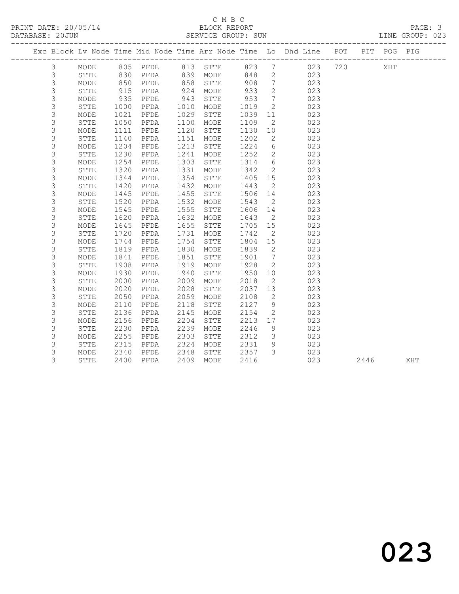#### C M B C<br>BLOCK REPORT SERVICE GROUP: SUN

|                |              |      | PRINT DATE: 20/05/14 BLOCK REPORT DATABASE: 20JUN SERVICE GROUP: |      | SERVICE GROUP: SUN |      |                          |                                                                                |     |     | PAGE: 3<br>LINE GROUP: 023 |
|----------------|--------------|------|------------------------------------------------------------------|------|--------------------|------|--------------------------|--------------------------------------------------------------------------------|-----|-----|----------------------------|
|                |              |      |                                                                  |      |                    |      |                          | Exc Block Lv Node Time Mid Node Time Arr Node Time Lo Dhd Line POT PIT POG PIG |     |     |                            |
| $\mathcal{S}$  | MODE         |      |                                                                  |      |                    |      |                          | 805 PFDE 813 STTE 823 7 023                                                    | 720 | XHT |                            |
| $\mathsf 3$    | STTE         |      | 830 PFDA                                                         |      | 839 MODE           | 848  |                          | $\overline{2}$<br>023                                                          |     |     |                            |
| $\mathsf 3$    | MODE         | 850  | PFDE                                                             | 858  | STTE               | 908  | $7\overline{ }$          | 023                                                                            |     |     |                            |
| $\mathsf 3$    | <b>STTE</b>  | 915  | PFDA                                                             | 924  | MODE               | 933  | 2                        | 023                                                                            |     |     |                            |
| 3              | MODE         | 935  | PFDE                                                             | 943  | STTE               | 953  | $7\overline{ }$          | 023                                                                            |     |     |                            |
| $\mathfrak{Z}$ | STTE         | 1000 | PFDA                                                             | 1010 | MODE               | 1019 | 2                        | 023                                                                            |     |     |                            |
| $\mathsf 3$    | MODE         | 1021 | PFDE                                                             | 1029 | STTE               | 1039 | 11                       | 023                                                                            |     |     |                            |
| $\mathsf 3$    | ${\tt STTE}$ | 1050 | PFDA                                                             | 1100 | MODE               | 1109 | $\overline{2}$           | 023                                                                            |     |     |                            |
| $\mathsf 3$    | MODE         | 1111 | PFDE                                                             | 1120 | STTE               | 1130 | 10                       | 023                                                                            |     |     |                            |
| 3              | <b>STTE</b>  | 1140 | PFDA                                                             | 1151 | MODE               | 1202 | $\overline{2}$           | 023                                                                            |     |     |                            |
| $\mathsf 3$    | MODE         | 1204 | PFDE                                                             | 1213 | STTE               | 1224 | 6                        | 023                                                                            |     |     |                            |
| $\mathsf 3$    | STTE         | 1230 | PFDA                                                             | 1241 | MODE               | 1252 | 2                        | 023                                                                            |     |     |                            |
| $\mathsf 3$    | MODE         | 1254 | PFDE                                                             | 1303 | STTE               | 1314 |                          | $6\overline{6}$<br>023                                                         |     |     |                            |
| $\mathsf 3$    | STTE         | 1320 | PFDA                                                             | 1331 | MODE               | 1342 |                          | $\overline{2}$<br>023                                                          |     |     |                            |
| $\mathsf 3$    | MODE         | 1344 | PFDE                                                             | 1354 | STTE               | 1405 | 15                       | 023                                                                            |     |     |                            |
| $\mathsf 3$    | <b>STTE</b>  | 1420 | PFDA                                                             | 1432 | MODE               | 1443 | 2                        | 023                                                                            |     |     |                            |
| $\mathsf 3$    | MODE         | 1445 | PFDE                                                             | 1455 | STTE               | 1506 | 14                       | 023                                                                            |     |     |                            |
| $\mathfrak{Z}$ | STTE         | 1520 | PFDA                                                             | 1532 | MODE               | 1543 | $\overline{2}$           | 023                                                                            |     |     |                            |
| $\mathsf 3$    | MODE         | 1545 | PFDE                                                             | 1555 | STTE               | 1606 | 14                       | 023                                                                            |     |     |                            |
| $\mathsf 3$    | <b>STTE</b>  | 1620 | PFDA                                                             | 1632 | MODE               | 1643 | $\overline{2}$           | 023                                                                            |     |     |                            |
| $\mathsf 3$    | MODE         | 1645 | PFDE                                                             | 1655 | STTE               | 1705 | 15                       | 023                                                                            |     |     |                            |
| $\mathsf 3$    | STTE         | 1720 | PFDA                                                             | 1731 | MODE               | 1742 | $\overline{2}$           | 023                                                                            |     |     |                            |
| 3              | MODE         | 1744 | PFDE                                                             | 1754 | STTE               | 1804 | 15                       | 023                                                                            |     |     |                            |
| $\mathsf 3$    | ${\tt STTE}$ | 1819 | PFDA                                                             | 1830 | MODE               | 1839 | $\overline{\phantom{a}}$ | 023                                                                            |     |     |                            |
| $\mathsf 3$    | MODE         | 1841 | PFDE                                                             | 1851 | STTE               | 1901 | $7\overline{ }$          | 023                                                                            |     |     |                            |
| $\mathsf 3$    | STTE         | 1908 | PFDA                                                             | 1919 | MODE               | 1928 | $\overline{2}$           | 023                                                                            |     |     |                            |
| $\mathsf 3$    | MODE         | 1930 | PFDE                                                             | 1940 | STTE               | 1950 | 10                       | 023                                                                            |     |     |                            |
| $\mathsf 3$    | STTE         | 2000 | PFDA                                                             | 2009 | MODE               | 2018 | 2                        | 023                                                                            |     |     |                            |
| $\mathsf 3$    | MODE         | 2020 | PFDE                                                             | 2028 | STTE               | 2037 | 13                       | 023                                                                            |     |     |                            |
| 3              | <b>STTE</b>  | 2050 | PFDA                                                             | 2059 | MODE               | 2108 | $\overline{2}$           | 023                                                                            |     |     |                            |
| $\mathsf 3$    | MODE         | 2110 | PFDE                                                             | 2118 | STTE               | 2127 | 9                        | 023                                                                            |     |     |                            |
| $\mathsf 3$    | STTE         | 2136 | PFDA                                                             | 2145 | MODE               | 2154 | $\overline{2}$           | 023                                                                            |     |     |                            |
| 3              | MODE         | 2156 | PFDE                                                             | 2204 | STTE               | 2213 | 17                       | 023                                                                            |     |     |                            |
| 3              | <b>STTE</b>  | 2230 | PFDA                                                             | 2239 | MODE               | 2246 | 9                        | 023                                                                            |     |     |                            |

3 STTE 2400 PFDA 2409 MODE 2416 023 2446 XHT

 3 MODE 2255 PFDE 2303 STTE 2312 3 023 3 STTE 2315 PFDA 2324 MODE 2331 9 023 3 MODE 2340 PFDE 2348 STTE 2357 3 023

023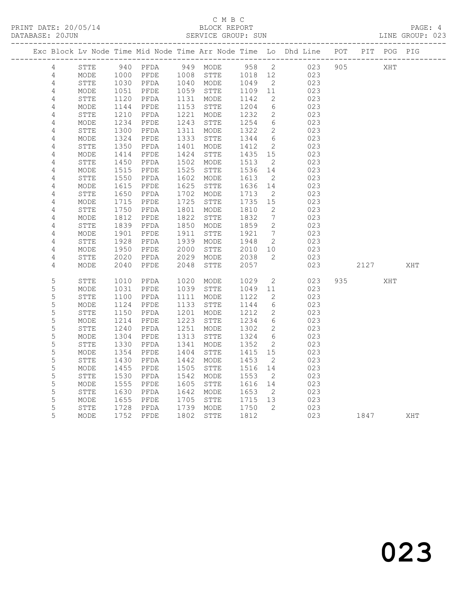# C M B C<br>BLOCK REPORT

LINE GROUP: 023

|  |                |                   |      |                   |      |              |         |                 | Exc Block Lv Node Time Mid Node Time Arr Node Time Lo Dhd Line POT |     |      | PIT POG PIG |     |
|--|----------------|-------------------|------|-------------------|------|--------------|---------|-----------------|--------------------------------------------------------------------|-----|------|-------------|-----|
|  | $\overline{4}$ | STTE              |      | 940 PFDA 949 MODE |      |              | 958 2   |                 | 023                                                                | 905 |      | XHT         |     |
|  | $\overline{4}$ | MODE              | 1000 | PFDE              |      | 1008 STTE    | 1018 12 |                 | 023                                                                |     |      |             |     |
|  | $\sqrt{4}$     | ${\tt STTE}$      | 1030 | PFDA              |      | 1040 MODE    | 1049    | $\overline{2}$  | 023                                                                |     |      |             |     |
|  | $\overline{4}$ | MODE              | 1051 | PFDE              | 1059 | STTE         | 1109    | 11              | 023                                                                |     |      |             |     |
|  | $\sqrt{4}$     | <b>STTE</b>       | 1120 | PFDA              | 1131 | MODE         | 1142    | 2               | 023                                                                |     |      |             |     |
|  | $\sqrt{4}$     | MODE              | 1144 | PFDE              | 1153 | STTE         | 1204    | 6               | 023                                                                |     |      |             |     |
|  | $\sqrt{4}$     | STTE              | 1210 | PFDA              | 1221 | MODE         | 1232    | $\mathbf{2}$    | 023                                                                |     |      |             |     |
|  | 4              | MODE              | 1234 | PFDE              | 1243 | STTE         | 1254    | $6\overline{6}$ | 023                                                                |     |      |             |     |
|  | $\sqrt{4}$     | STTE              | 1300 | PFDA              | 1311 | MODE         | 1322    | $\mathbf{2}$    | 023                                                                |     |      |             |     |
|  | 4              | MODE              | 1324 | PFDE              | 1333 | STTE         | 1344    | $6\overline{6}$ | 023                                                                |     |      |             |     |
|  | $\sqrt{4}$     | ${\tt STTE}$      | 1350 | PFDA              | 1401 | MODE         | 1412    | 2               | 023                                                                |     |      |             |     |
|  | $\sqrt{4}$     | MODE              | 1414 | PFDE              | 1424 | STTE         | 1435    | 15              | 023                                                                |     |      |             |     |
|  | 4              | STTE              | 1450 | PFDA              | 1502 | MODE         | 1513    | 2               | 023                                                                |     |      |             |     |
|  | 4              | MODE              | 1515 | PFDE              | 1525 | STTE         | 1536    | 14              | 023                                                                |     |      |             |     |
|  | $\sqrt{4}$     | STTE              | 1550 | PFDA              | 1602 | MODE         | 1613    | 2               | 023                                                                |     |      |             |     |
|  | $\overline{4}$ | MODE              | 1615 | PFDE              | 1625 | STTE         | 1636    | 14              | 023                                                                |     |      |             |     |
|  | 4              | STTE              | 1650 | PFDA              | 1702 | MODE         | 1713    | $\overline{2}$  | 023                                                                |     |      |             |     |
|  | 4              | MODE              | 1715 | PFDE              | 1725 | STTE         | 1735    | 15              | 023                                                                |     |      |             |     |
|  | 4              | STTE              | 1750 | PFDA              | 1801 | MODE         | 1810    | 2               | 023                                                                |     |      |             |     |
|  | $\sqrt{4}$     | MODE              | 1812 | PFDE              | 1822 | STTE         | 1832    | $7\phantom{.0}$ | 023                                                                |     |      |             |     |
|  | 4              | <b>STTE</b>       | 1839 | PFDA              | 1850 | MODE         | 1859    | 2               | 023                                                                |     |      |             |     |
|  | $\sqrt{4}$     | MODE              | 1901 | PFDE              | 1911 | STTE         | 1921    | $7\overline{ }$ | 023                                                                |     |      |             |     |
|  | $\sqrt{4}$     | STTE              | 1928 | PFDA              | 1939 | MODE         | 1948    | 2               | 023                                                                |     |      |             |     |
|  | 4              | MODE              | 1950 | PFDE              | 2000 | STTE         | 2010    | 10              | 023                                                                |     |      |             |     |
|  | 4              | STTE              | 2020 | PFDA              | 2029 | MODE         | 2038    | 2               | 023                                                                |     |      |             |     |
|  | 4              | MODE              | 2040 | PFDE              | 2048 | <b>STTE</b>  | 2057    |                 | 023                                                                |     | 2127 |             | XHT |
|  |                |                   |      |                   |      |              |         |                 |                                                                    |     |      |             |     |
|  | 5              | STTE              | 1010 | PFDA              | 1020 | MODE         | 1029    | $\mathbf{2}$    | 023                                                                | 935 |      | XHT         |     |
|  | 5              | MODE              | 1031 | PFDE              | 1039 | STTE         | 1049    | 11              | 023                                                                |     |      |             |     |
|  | $\mathsf S$    | STTE              | 1100 | PFDA              | 1111 | MODE         | 1122    | 2               | 023                                                                |     |      |             |     |
|  | 5              | MODE              | 1124 | PFDE              | 1133 | STTE         | 1144    | 6               | 023                                                                |     |      |             |     |
|  | 5              | STTE              | 1150 | PFDA              | 1201 | MODE         | 1212    | $\overline{2}$  | 023                                                                |     |      |             |     |
|  | 5              | MODE              | 1214 | PFDE              | 1223 | ${\tt STTE}$ | 1234    | 6               | 023                                                                |     |      |             |     |
|  | 5              | STTE              | 1240 | PFDA              | 1251 | MODE         | 1302    | 2               | 023                                                                |     |      |             |     |
|  | 5              | MODE              | 1304 | PFDE              | 1313 | STTE         | 1324    | 6               | 023                                                                |     |      |             |     |
|  | 5              | STTE              | 1330 | PFDA              | 1341 | MODE         | 1352    | 2               | 023                                                                |     |      |             |     |
|  | 5              | MODE              | 1354 | PFDE              | 1404 | STTE         | 1415    | 15              | 023                                                                |     |      |             |     |
|  | 5              | <b>STTE</b>       | 1430 | PFDA              | 1442 | MODE         | 1453    | 2               | 023                                                                |     |      |             |     |
|  | $\mathsf S$    | MODE              | 1455 | PFDE              | 1505 | STTE         | 1516    | 14              | 023                                                                |     |      |             |     |
|  | 5              | STTE              | 1530 | PFDA              | 1542 | MODE         | 1553    | $\overline{2}$  | 023                                                                |     |      |             |     |
|  | 5              | MODE              | 1555 | PFDE              | 1605 | STTE         | 1616    | 14              | 023                                                                |     |      |             |     |
|  | 5              | ${\tt STTE}$      | 1630 | PFDA              | 1642 | MODE         | 1653    | $\overline{2}$  | 023                                                                |     |      |             |     |
|  | 5              | $\texttt{MODE}{}$ | 1655 | PFDE              | 1705 | STTE         | 1715    | 13              | 023                                                                |     |      |             |     |
|  | 5              | STTE              | 1728 | PFDA              | 1739 | MODE         | 1750    | $\overline{2}$  | 023                                                                |     |      |             |     |
|  | 5              | MODE              | 1752 | PFDE              | 1802 | STTE         | 1812    |                 | 023                                                                |     | 1847 |             | XHT |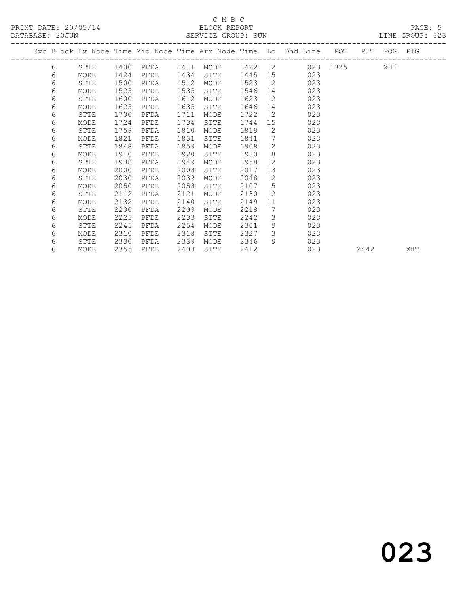### C M B C<br>BLOCK REPORT SERVICE GROUP: SUN

|   |             |      |      |      |             |      |                       | Exc Block Lv Node Time Mid Node Time Arr Node Time Lo Dhd Line | POT      | PIT  | POG PIG |     |
|---|-------------|------|------|------|-------------|------|-----------------------|----------------------------------------------------------------|----------|------|---------|-----|
| 6 | STTE        | 1400 | PFDA | 1411 | MODE        | 1422 | $\overline{2}$        |                                                                | 023 1325 |      | XHT     |     |
| 6 | MODE        | 1424 | PFDE | 1434 | <b>STTE</b> | 1445 | 15                    | 023                                                            |          |      |         |     |
| 6 | STTE        | 1500 | PFDA | 1512 | MODE        | 1523 | 2                     | 023                                                            |          |      |         |     |
| 6 | MODE        | 1525 | PFDE | 1535 | STTE        | 1546 | 14                    | 023                                                            |          |      |         |     |
| 6 | STTE        | 1600 | PFDA | 1612 | MODE        | 1623 | 2                     | 023                                                            |          |      |         |     |
| 6 | MODE        | 1625 | PFDE | 1635 | STTE        | 1646 | 14                    | 023                                                            |          |      |         |     |
| 6 | STTE        | 1700 | PFDA | 1711 | MODE        | 1722 | 2                     | 023                                                            |          |      |         |     |
| 6 | MODE        | 1724 | PFDE | 1734 | STTE        | 1744 | 15                    | 023                                                            |          |      |         |     |
| 6 | STTE        | 1759 | PFDA | 1810 | MODE        | 1819 | $\mathbf{2}^{\prime}$ | 023                                                            |          |      |         |     |
| 6 | MODE        | 1821 | PFDE | 1831 | STTE        | 1841 | 7                     | 023                                                            |          |      |         |     |
| 6 | STTE        | 1848 | PFDA | 1859 | MODE        | 1908 | $\overline{2}$        | 023                                                            |          |      |         |     |
| 6 | MODE        | 1910 | PFDE | 1920 | STTE        | 1930 | 8                     | 023                                                            |          |      |         |     |
| 6 | STTE        | 1938 | PFDA | 1949 | MODE        | 1958 | 2                     | 023                                                            |          |      |         |     |
| 6 | MODE        | 2000 | PFDE | 2008 | STTE        | 2017 | 13                    | 023                                                            |          |      |         |     |
| 6 | <b>STTE</b> | 2030 | PFDA | 2039 | MODE        | 2048 | $\mathbf{2}^{\prime}$ | 023                                                            |          |      |         |     |
| 6 | MODE        | 2050 | PFDE | 2058 | STTE        | 2107 | 5                     | 023                                                            |          |      |         |     |
| 6 | STTE        | 2112 | PFDA | 2121 | MODE        | 2130 | 2                     | 023                                                            |          |      |         |     |
| 6 | MODE        | 2132 | PFDE | 2140 | STTE        | 2149 | 11                    | 023                                                            |          |      |         |     |
| 6 | STTE        | 2200 | PFDA | 2209 | MODE        | 2218 | 7                     | 023                                                            |          |      |         |     |
| 6 | MODE        | 2225 | PFDE | 2233 | STTE        | 2242 | 3                     | 023                                                            |          |      |         |     |
| 6 | STTE        | 2245 | PFDA | 2254 | MODE        | 2301 | 9                     | 023                                                            |          |      |         |     |
| 6 | MODE        | 2310 | PFDE | 2318 | STTE        | 2327 | 3                     | 023                                                            |          |      |         |     |
| 6 | STTE        | 2330 | PFDA | 2339 | MODE        | 2346 | 9                     | 023                                                            |          |      |         |     |
| 6 | MODE        | 2355 | PFDE | 2403 | STTE        | 2412 |                       | 023                                                            |          | 2442 |         | XHT |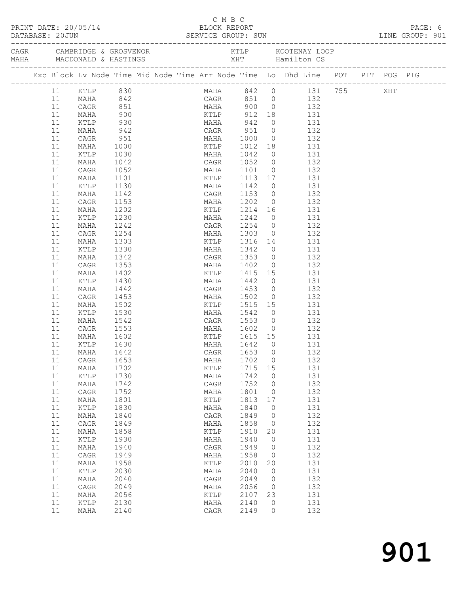|          |               |                   |  | C M B C                  |              |                | PRINT DATE: 20/05/14<br>DATABASE: 20JUN<br>DATABASE: 20JUN<br>SERVICE GROUP: SUN                                                                  |  | PAGE: 6<br>LINE GROUP: 901 |
|----------|---------------|-------------------|--|--------------------------|--------------|----------------|---------------------------------------------------------------------------------------------------------------------------------------------------|--|----------------------------|
|          |               |                   |  |                          |              |                |                                                                                                                                                   |  |                            |
|          |               |                   |  |                          |              |                | Exc Block Lv Node Time Mid Node Time Arr Node Time Lo Dhd Line POT PIT POG PIG                                                                    |  |                            |
|          |               |                   |  |                          |              |                | MAHA 842 0 131 755 XHT<br>CAGR 851 0 132<br>11 KTLP 830<br>11 MAHA 842 CAGR 851 0 132<br>11 CAGR 851 MAHA 900 0 132<br>11 CAGR 851 MAHA 900 0 132 |  |                            |
|          |               |                   |  |                          |              |                |                                                                                                                                                   |  |                            |
|          |               |                   |  |                          |              |                |                                                                                                                                                   |  |                            |
|          | MAHA          | 900<br>930<br>942 |  |                          |              |                | XTLP 912 18<br>XTLP 912 18 131<br>MAHA 942 0 131<br>CAGR 951 0 132<br>MAHA 1000 0 132                                                             |  |                            |
| 11       | KTLP          |                   |  |                          |              |                |                                                                                                                                                   |  |                            |
| 11       | MAHA          |                   |  |                          |              |                |                                                                                                                                                   |  |                            |
| 11       | CAGR          | 951               |  |                          |              |                |                                                                                                                                                   |  |                            |
| 11       | MAHA          | 1000              |  |                          |              |                | KTLP 1012 18 131                                                                                                                                  |  |                            |
| 11       | KTLP          | 1030              |  |                          |              |                | MAHA 1042 0 131<br>CAGR 1052 0 132                                                                                                                |  |                            |
| 11<br>11 | MAHA          | 1042              |  |                          |              |                | MAHA 1101 0 132                                                                                                                                   |  |                            |
| 11       | CAGR<br>MAHA  | 1052<br>1101      |  |                          |              |                |                                                                                                                                                   |  |                            |
| 11       | KTLP          | 1130              |  |                          |              |                | KTLP 1113 17 131                                                                                                                                  |  |                            |
| 11       | MAHA          | 1142              |  |                          |              |                | MAHA 1142 0 131<br>CAGR 1153 0 132                                                                                                                |  |                            |
| 11       | CAGR          | 1153              |  |                          |              |                | MAHA 1202 0 132                                                                                                                                   |  |                            |
| 11       | MAHA          | 1202              |  |                          |              |                | KTLP 1214 16 131                                                                                                                                  |  |                            |
| 11       | KTLP          | 1230              |  |                          |              |                |                                                                                                                                                   |  |                            |
| 11       | MAHA          | 1242              |  |                          |              |                | MAHA 1242 0 131<br>CAGR 1254 0 132                                                                                                                |  |                            |
| 11       | CAGR          | 1254              |  |                          |              |                | MAHA 1303 0 132                                                                                                                                   |  |                            |
| 11       | MAHA          | 1303              |  |                          |              |                | KTLP 1316 14 131                                                                                                                                  |  |                            |
| 11       | KTLP          | 1330              |  |                          |              |                | MAHA 1342 0 131<br>CAGR 1353 0 132                                                                                                                |  |                            |
| 11       | MAHA          | 1342              |  |                          |              |                |                                                                                                                                                   |  |                            |
| 11       | CAGR          | 1353              |  |                          |              |                | MAHA 1402 0 132                                                                                                                                   |  |                            |
| 11       | MAHA          | 1402              |  |                          |              |                | KTLP 1415 15 131                                                                                                                                  |  |                            |
| 11       | KTLP          | 1430              |  | MAHA 1442                |              |                | $\begin{matrix} 0 & 131 \\ 2 & 132 \end{matrix}$                                                                                                  |  |                            |
| 11       | MAHA          | 1442              |  | CAGR 1453 0<br>MAHA 1502 |              |                | 132<br>$\overline{0}$ $\overline{132}$                                                                                                            |  |                            |
| 11       | CAGR          | 1453              |  |                          |              |                |                                                                                                                                                   |  |                            |
| 11       | MAHA          | 1502              |  |                          |              |                | KTLP 1515 15 131                                                                                                                                  |  |                            |
| 11<br>11 | KTLP<br>MAHA  | 1530              |  | CAGR 1553 0              |              |                | MAHA 1542 0 131<br>132                                                                                                                            |  |                            |
| 11       | CAGR          | 1542<br>1553      |  |                          |              |                | MAHA 1602 0 132                                                                                                                                   |  |                            |
| 11       | MAHA          | 1602              |  |                          |              |                | KTLP 1615 15 131                                                                                                                                  |  |                            |
| 11       | KTLP          | 1630              |  | MAHA                     | 1642         | $\overline{0}$ | 131                                                                                                                                               |  |                            |
|          | 11 MAHA 1642  |                   |  | CAGR 1653 0              |              |                | 132                                                                                                                                               |  |                            |
| 11       | CAGR          | 1653              |  | MAHA                     | 1702         | $\circ$        | 132                                                                                                                                               |  |                            |
| 11       | MAHA          | 1702              |  | KTLP                     | 1715         | 15             | 131                                                                                                                                               |  |                            |
| 11       | KTLP          | 1730              |  | MAHA                     | 1742         | $\circ$        | 131                                                                                                                                               |  |                            |
| 11       | MAHA          | 1742              |  | CAGR                     | 1752         | 0              | 132                                                                                                                                               |  |                            |
| 11       | CAGR          | 1752              |  | MAHA                     | 1801         | 0              | 132                                                                                                                                               |  |                            |
| $11$     | MAHA          | 1801              |  | KTLP                     | 1813         | 17             | 131                                                                                                                                               |  |                            |
| 11       | KTLP          | 1830              |  | MAHA                     | 1840         | 0              | 131                                                                                                                                               |  |                            |
| $11$     | MAHA          | 1840              |  | CAGR                     | 1849         | 0              | 132                                                                                                                                               |  |                            |
| 11       | CAGR          | 1849              |  | MAHA                     | 1858         | 0              | 132                                                                                                                                               |  |                            |
| $11$     | MAHA          | 1858              |  | KTLP                     | 1910         | 20             | 131                                                                                                                                               |  |                            |
| 11       | KTLP          | 1930              |  | MAHA                     | 1940         | $\circ$        | 131                                                                                                                                               |  |                            |
| $11$     | MAHA          | 1940              |  | CAGR                     | 1949         | 0              | 132                                                                                                                                               |  |                            |
| 11       | CAGR          | 1949              |  | MAHA                     | 1958         | 0              | 132                                                                                                                                               |  |                            |
| $11$     | MAHA          | 1958              |  | KTLP                     | 2010         | 20             | 131                                                                                                                                               |  |                            |
| 11       | $\verb KTLP $ | 2030              |  | MAHA                     | 2040         | 0              | 131                                                                                                                                               |  |                            |
| $11$     | MAHA          | 2040              |  | CAGR                     | 2049         | 0              | 132                                                                                                                                               |  |                            |
| 11       | CAGR          | 2049              |  | MAHA                     | 2056         | 0              | 132                                                                                                                                               |  |                            |
| 11       | MAHA          | 2056              |  | KTLP                     | 2107         | 23             | 131                                                                                                                                               |  |                            |
| 11<br>11 | KTLP          | 2130              |  | MAHA                     | 2140<br>2149 | 0              | 131<br>132                                                                                                                                        |  |                            |
|          | MAHA          | 2140              |  | CAGR                     |              | 0              |                                                                                                                                                   |  |                            |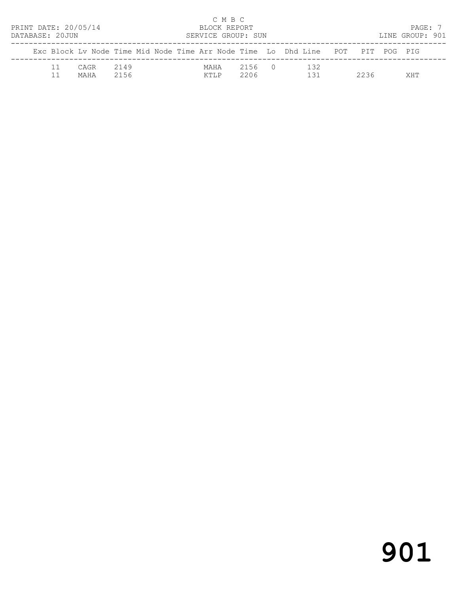| PRINT DATE: 20/05/14<br>DATABASE: 20JUN |              |              |  | C M B C<br>BLOCK REPORT<br>SERVICE GROUP: SUN |                |                                                                                |      | PAGE: 7<br>LINE GROUP: 901 |  |
|-----------------------------------------|--------------|--------------|--|-----------------------------------------------|----------------|--------------------------------------------------------------------------------|------|----------------------------|--|
|                                         |              |              |  |                                               |                | Exc Block Ly Node Time Mid Node Time Arr Node Time Lo Dhd Line POT PIT POG PIG |      |                            |  |
|                                         | CAGR<br>MAHA | 2149<br>2156 |  | MAHA<br>KTI.P                                 | 2156 0<br>2206 | 132<br>131                                                                     | 2236 | <b>XHT</b>                 |  |

# 901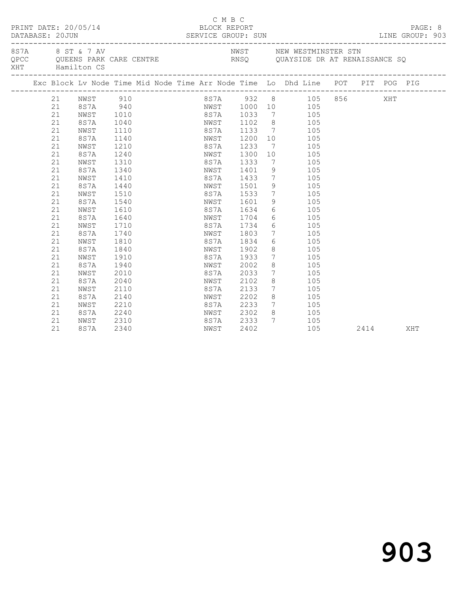|     | DATABASE: 20JUN | PRINT DATE: 20/05/14 |              | C M B C<br>BLOCK REPORT             |      |                                    |                                           |  |      | PAGE: 8<br>LINE GROUP: 903 |
|-----|-----------------|----------------------|--------------|-------------------------------------|------|------------------------------------|-------------------------------------------|--|------|----------------------------|
| XHT |                 | Hamilton CS          |              |                                     |      |                                    | NWST NEW WESTMINSTER STN                  |  |      |                            |
|     |                 |                      |              |                                     |      |                                    |                                           |  |      |                            |
|     | 21              | NWST                 | 910          |                                     |      |                                    | 8S7A 932 8 105 856 XHT                    |  |      |                            |
|     | 21              | 8S7A 940             |              |                                     |      |                                    | NWST 1000 10 105                          |  |      |                            |
|     | 21              | NWST                 | 1010         | 8S7A 1033<br>NWST 1102<br>8S7A 1133 |      |                                    | 7 105                                     |  |      |                            |
|     | 21              | 8S7A                 | 1040         |                                     |      |                                    | 8 105<br>7 105                            |  |      |                            |
|     | 21              | NWST                 | 1110         |                                     |      |                                    |                                           |  |      |                            |
|     | 21              | 8S7A                 | 1140         | NWST                                | 1200 |                                    | $\begin{array}{c}\n10 \\ 10\n\end{array}$ |  |      |                            |
|     | 21              | NWST                 | 1210         | 8S7A 1233                           |      | $\overline{7}$                     | 105                                       |  |      |                            |
|     | 21              | 8S7A                 | 1240         | NWST 1300                           |      |                                    | 10<br>105                                 |  |      |                            |
|     | 21              | NWST                 | 1310         | 8S7A                                | 1333 | $\overline{7}$                     | 105                                       |  |      |                            |
|     | 21              | 8S7A                 | 1340         | NWST                                | 1401 |                                    | 9 105                                     |  |      |                            |
|     | 21              | NWST                 | 1410         | 8S7A                                | 1433 |                                    | $7\overline{ }$<br>105                    |  |      |                            |
|     | 21<br>21        | 8S7A                 | 1440         | NWST<br>8S7A 1533                   | 1501 | 9<br>$7\overline{ }$               | 105<br>$\frac{1}{105}$                    |  |      |                            |
|     | 21              | NWST                 | 1510<br>1540 | NWST 1601                           |      | 9                                  | 105                                       |  |      |                            |
|     | 21              | 8S7A                 | 1610         | 8S7A 1634                           |      |                                    | 6 105                                     |  |      |                            |
|     | 21              | NWST<br>8S7A         | 1640         | NWST 1704                           |      |                                    | $6\overline{6}$<br>105                    |  |      |                            |
|     | 21              | NWST                 | 1710         | 8S7A                                | 1734 |                                    | $6\overline{6}$<br>105                    |  |      |                            |
|     | 21              | 8S7A                 | 1740         | NWST                                | 1803 |                                    | 105                                       |  |      |                            |
|     | 21              | NWST                 | 1810         | 8S7A                                | 1834 |                                    | $7\overline{ }$                           |  |      |                            |
|     | 21              | 8S7A                 | 1840         | NWST                                | 1902 | 8                                  | $6\overline{6}$<br>105<br>105             |  |      |                            |
|     | 21              | NWST                 | 1910         | 8S7A                                | 1933 | $7\overline{ }$                    | 105                                       |  |      |                            |
|     | 21              | 8S7A                 | 1940         | NWST                                | 2002 | 8                                  | 105                                       |  |      |                            |
|     | 21              | NWST                 | 2010         | 8S7A                                | 2033 |                                    | 7 105                                     |  |      |                            |
|     | 21              | 8S7A                 | 2040         | NWST 2102                           |      | 8                                  | 105                                       |  |      |                            |
|     | 21              | NWST                 | 2110         | 8S7A                                | 2133 | $7\overline{ }$                    | 105                                       |  |      |                            |
|     | 21              | 8S7A                 | 2140         | NWST                                | 2202 |                                    | 8 <sup>1</sup><br>105                     |  |      |                            |
|     | 21              | NWST                 | 2210         |                                     |      | $\begin{array}{c}\n7\n\end{array}$ | 105                                       |  |      |                            |
|     | 21              | 8S7A                 | 2240         | 8S7A 2233<br>NWST 2302              |      | 8 <sup>8</sup>                     | 105                                       |  |      |                            |
|     | 21              | NWST                 | 2310         | 8S7A 2333                           |      | $7\phantom{0}$                     | 105                                       |  |      |                            |
|     | 21              | 8S7A                 | 2340         | NWST                                | 2402 |                                    | 105                                       |  | 2414 | XHT                        |
|     |                 |                      |              |                                     |      |                                    |                                           |  |      |                            |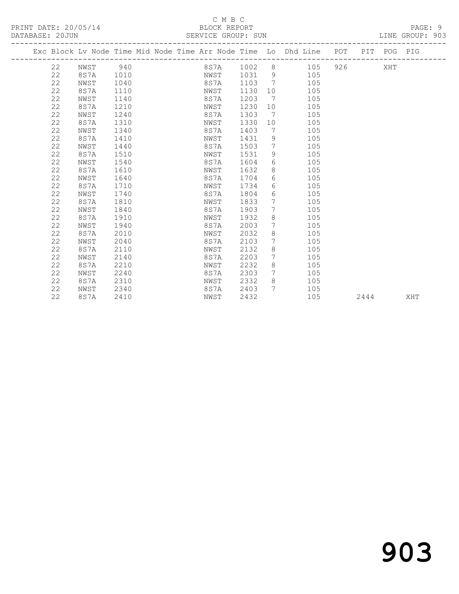#### C M B C<br>BLOCK REPORT SERVICE GROUP: SUN

|    | Exc Block Lv Node Time Mid Node Time Arr Node Time Lo Dhd Line POT PIT POG PIG |      |  |      |             |                              |     |     |      |     |     |
|----|--------------------------------------------------------------------------------|------|--|------|-------------|------------------------------|-----|-----|------|-----|-----|
| 22 | NWST                                                                           | 940  |  |      | 8S7A 1002 8 |                              | 105 | 926 |      | XHT |     |
| 22 | 8 S 7 A                                                                        | 1010 |  | NWST | 1031 9      |                              | 105 |     |      |     |     |
| 22 | NWST                                                                           | 1040 |  | 8S7A | 1103        | $\overline{7}$               | 105 |     |      |     |     |
| 22 | 8S7A                                                                           | 1110 |  | NWST | 1130        | 10                           | 105 |     |      |     |     |
| 22 | NWST                                                                           | 1140 |  | 8S7A | 1203        | $7\phantom{.0}\phantom{.0}7$ | 105 |     |      |     |     |
| 22 | 8S7A                                                                           | 1210 |  | NWST | 1230        | 10                           | 105 |     |      |     |     |
| 22 | NWST                                                                           | 1240 |  | 8S7A | 1303        | $\overline{7}$               | 105 |     |      |     |     |
| 22 | 8S7A                                                                           | 1310 |  | NWST | 1330        | 10                           | 105 |     |      |     |     |
| 22 | NWST                                                                           | 1340 |  | 8S7A | 1403        | 7                            | 105 |     |      |     |     |
| 22 | 8S7A                                                                           | 1410 |  | NWST | 1431        | 9                            | 105 |     |      |     |     |
| 22 | NWST                                                                           | 1440 |  | 8S7A | 1503        | $7\phantom{.0}$              | 105 |     |      |     |     |
| 22 | 8S7A                                                                           | 1510 |  | NWST | 1531        | $\mathcal{G}$                | 105 |     |      |     |     |
| 22 | NWST                                                                           | 1540 |  | 8S7A | 1604        | 6                            | 105 |     |      |     |     |
| 22 | 8S7A                                                                           | 1610 |  | NWST | 1632        | 8                            | 105 |     |      |     |     |
| 22 | NWST                                                                           | 1640 |  | 8S7A | 1704        | 6                            | 105 |     |      |     |     |
| 22 | 8S7A                                                                           | 1710 |  | NWST | 1734        | 6                            | 105 |     |      |     |     |
| 22 | NWST                                                                           | 1740 |  | 8S7A | 1804        | 6                            | 105 |     |      |     |     |
| 22 | 8S7A                                                                           | 1810 |  | NWST | 1833        | 7                            | 105 |     |      |     |     |
| 22 | NWST                                                                           | 1840 |  | 8S7A | 1903        | 7                            | 105 |     |      |     |     |
| 22 | 8S7A                                                                           | 1910 |  | NWST | 1932        | 8                            | 105 |     |      |     |     |
| 22 | NWST                                                                           | 1940 |  | 8S7A | 2003        | $7\phantom{.0}$              | 105 |     |      |     |     |
| 22 | 8S7A                                                                           | 2010 |  | NWST | 2032        | 8                            | 105 |     |      |     |     |
| 22 | NWST                                                                           | 2040 |  | 8S7A | 2103        | 7                            | 105 |     |      |     |     |
| 22 | 8S7A                                                                           | 2110 |  | NWST | 2132        | 8                            | 105 |     |      |     |     |
| 22 | NWST                                                                           | 2140 |  | 8S7A | 2203        | 7                            | 105 |     |      |     |     |
| 22 | 8S7A                                                                           | 2210 |  | NWST | 2232        | 8                            | 105 |     |      |     |     |
| 22 | NWST                                                                           | 2240 |  | 8S7A | 2303        | $7\overline{ }$              | 105 |     |      |     |     |
| 22 | 8S7A                                                                           | 2310 |  | NWST | 2332        | 8                            | 105 |     |      |     |     |
| 22 | NWST                                                                           | 2340 |  | 8S7A | 2403        | $7\overline{ }$              | 105 |     |      |     |     |
| 22 | 8S7A                                                                           | 2410 |  | NWST | 2432        |                              | 105 |     | 2444 |     | XHT |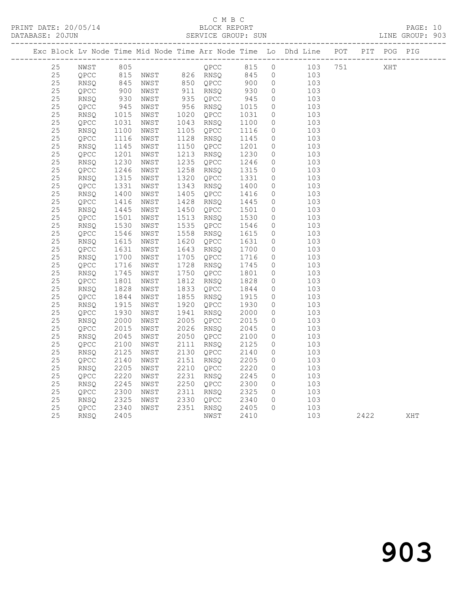## C M B C<br>BLOCK REPORT

PAGE: 10<br>LINE GROUP: 903

|    |    |      |                                                                             |                                                              |      |                      |            |                                                        | Exc Block Lv Node Time Mid Node Time Arr Node Time Lo Dhd Line POT PIT POG PIG |      |     |     |
|----|----|------|-----------------------------------------------------------------------------|--------------------------------------------------------------|------|----------------------|------------|--------------------------------------------------------|--------------------------------------------------------------------------------|------|-----|-----|
|    | 25 | NWST | 805                                                                         |                                                              |      |                      |            |                                                        | QPCC 815 0 103 751                                                             |      | XHT |     |
| 25 |    |      |                                                                             |                                                              |      |                      |            |                                                        |                                                                                |      |     |     |
| 25 |    | RNSQ |                                                                             | QPCC 815 NWST 826 RNSQ 845 0<br>RNSQ 845 NWST 850 QPCC 900 0 |      |                      |            |                                                        | 103<br>103                                                                     |      |     |     |
| 25 |    | QPCC |                                                                             | NWST                                                         |      |                      |            |                                                        | $\frac{103}{103}$                                                              |      |     |     |
| 25 |    | RNSQ | 900<br>930                                                                  | NWST                                                         |      | 911 RNSQ<br>935 QPCC | 930<br>945 | $\begin{matrix} 0 \\ 0 \end{matrix}$<br>$\overline{0}$ | 103                                                                            |      |     |     |
| 25 |    | QPCC |                                                                             | NWST                                                         |      | 956 RNSQ             | 1015       | $\overline{0}$                                         | 103                                                                            |      |     |     |
| 25 |    | RNSQ | $945$<br>$1015$                                                             | NWST                                                         |      | 1020 QPCC            | 1031       | $\overline{0}$                                         | 103                                                                            |      |     |     |
| 25 |    | QPCC |                                                                             | NWST                                                         |      | 1043 RNSQ            | 1100       | $\circ$                                                | 103                                                                            |      |     |     |
| 25 |    | RNSQ |                                                                             | NWST                                                         |      | 1105 QPCC            | 1116       | $\overline{0}$                                         | 103                                                                            |      |     |     |
| 25 |    | QPCC |                                                                             | NWST                                                         | 1128 | RNSQ                 | 1145       | $\overline{0}$                                         | 103                                                                            |      |     |     |
| 25 |    | RNSQ |                                                                             | NWST                                                         | 1150 | QPCC                 | 1201       | $\overline{0}$                                         | 103                                                                            |      |     |     |
| 25 |    | QPCC | $\begin{bmatrix} 1031 \\ 1031 \\ 110 \\ 1145 \\ 1201 \\ 1201 \end{bmatrix}$ | NWST                                                         | 1213 | RNSO                 | 1230       | $\circ$                                                | 103                                                                            |      |     |     |
| 25 |    | RNSQ |                                                                             | NWST                                                         | 1235 | QPCC                 | 1246       | $\overline{O}$                                         | 103                                                                            |      |     |     |
| 25 |    | QPCC | 1230<br>1246                                                                | NWST                                                         | 1258 | RNSQ                 | 1315       | $\overline{0}$                                         | 103                                                                            |      |     |     |
| 25 |    | RNSQ |                                                                             | NWST                                                         | 1320 | QPCC                 | 1331       | $\overline{0}$                                         | 103                                                                            |      |     |     |
| 25 |    | QPCC | 1315<br>1331                                                                | NWST                                                         | 1343 | RNSQ                 | 1400       | $\overline{0}$                                         | 103                                                                            |      |     |     |
| 25 |    | RNSQ |                                                                             | NWST                                                         |      | 1405 QPCC            | 1416       | $\overline{0}$                                         | 103                                                                            |      |     |     |
| 25 |    | QPCC | $\begin{array}{c} 1400 \\ 1416 \\ 1445 \end{array}$                         | NWST                                                         |      | 1428 RNSQ            | 1445       | $\overline{0}$                                         | 103                                                                            |      |     |     |
| 25 |    | RNSO |                                                                             | NWST                                                         |      | 1450 QPCC            | 1501       | $\overline{0}$                                         | 103                                                                            |      |     |     |
| 25 |    | QPCC |                                                                             | NWST                                                         | 1513 | RNSQ                 | 1530       | $\overline{0}$                                         | 103                                                                            |      |     |     |
| 25 |    | RNSQ | 1501<br>1530                                                                | NWST                                                         |      | 1535 QPCC            | 1546       | $\overline{0}$                                         | 103                                                                            |      |     |     |
| 25 |    | QPCC |                                                                             | NWST                                                         |      | 1558 RNSQ            | 1615       | $\overline{0}$                                         | 103                                                                            |      |     |     |
| 25 |    | RNSQ | 1546<br>1615                                                                | NWST                                                         |      | 1620 QPCC            | 1631       | $\overline{0}$                                         | 103                                                                            |      |     |     |
| 25 |    | QPCC |                                                                             | NWST                                                         | 1643 | RNSQ                 | 1700       | $\overline{0}$                                         | 103                                                                            |      |     |     |
| 25 |    | RNSQ | 1631<br>1700                                                                | NWST                                                         |      | 1705 QPCC            | 1716       | $\overline{0}$                                         | 103                                                                            |      |     |     |
| 25 |    | QPCC | $\frac{1716}{1745}$                                                         | NWST                                                         |      | 1728 RNSQ            | 1745       | $\circ$                                                | 103                                                                            |      |     |     |
| 25 |    | RNSQ |                                                                             | NWST                                                         |      | 1750 QPCC            | 1801       | $\overline{0}$                                         | 103                                                                            |      |     |     |
| 25 |    | QPCC |                                                                             | NWST                                                         | 1812 | RNSQ                 | 1828       | $\overline{0}$                                         | 103                                                                            |      |     |     |
| 25 |    | RNSQ |                                                                             | NWST                                                         | 1833 | QPCC                 | 1844       | $\overline{0}$                                         | 103                                                                            |      |     |     |
| 25 |    | QPCC | 1828<br>1844                                                                | NWST                                                         | 1855 | RNSO                 | 1915       | $\overline{0}$                                         | 103                                                                            |      |     |     |
| 25 |    | RNSQ |                                                                             | NWST                                                         | 1920 | QPCC                 | 1930       | $\overline{0}$                                         | 103                                                                            |      |     |     |
| 25 |    | QPCC | 1915<br>1930                                                                | NWST                                                         | 1941 | RNSQ                 | 2000       | $\overline{0}$                                         | 103                                                                            |      |     |     |
| 25 |    | RNSQ |                                                                             | NWST                                                         | 2005 | QPCC                 | 2015       | $\overline{0}$                                         | 103                                                                            |      |     |     |
| 25 |    | QPCC | 2000<br>2015                                                                | NWST                                                         |      | 2026 RNSQ            | 2045       | $\overline{0}$                                         | 103                                                                            |      |     |     |
| 25 |    | RNSQ | 2045                                                                        | NWST                                                         |      | 2050 QPCC            | 2100       | $\overline{0}$                                         | 103                                                                            |      |     |     |
| 25 |    | QPCC | 2100                                                                        | NWST                                                         |      | 2111 RNSQ            | 2125       | $\overline{0}$                                         | 103                                                                            |      |     |     |
| 25 |    | RNSO | 2125                                                                        | NWST                                                         |      | 2130 QPCC            | 2140       | $\overline{0}$                                         | 103                                                                            |      |     |     |
| 25 |    | QPCC |                                                                             | NWST                                                         |      | 2151 RNSQ            | 2205       | $\circ$                                                | 103                                                                            |      |     |     |
| 25 |    | RNSQ | 2140<br>2205                                                                | NWST                                                         |      | 2210 QPCC            | 2220       | $\overline{0}$                                         | 103                                                                            |      |     |     |
| 25 |    | QPCC |                                                                             | NWST                                                         |      | 2231 RNSQ            | 2245       | $\overline{0}$                                         | 103                                                                            |      |     |     |
| 25 |    | RNSQ | 2220<br>2245                                                                | NWST                                                         |      | $2250$ QPCC          | 2300       | $\overline{0}$                                         | 103                                                                            |      |     |     |
| 25 |    | QPCC |                                                                             | NWST                                                         | 2311 | RNSQ                 | 2325       | $\overline{0}$                                         | 103                                                                            |      |     |     |
| 25 |    | RNSQ | 2300<br>2325                                                                | NWST                                                         |      | 2330 QPCC            | 2340       | $\overline{0}$                                         | 103                                                                            |      |     |     |
| 25 |    | QPCC | 2340                                                                        | NWST                                                         |      | 2351 RNSQ            | 2405       | $\overline{0}$                                         | 103                                                                            |      |     |     |
| 25 |    | RNSQ | 2405                                                                        |                                                              |      | NWST                 | 2410       |                                                        | 103                                                                            | 2422 |     | XHT |
|    |    |      |                                                                             |                                                              |      |                      |            |                                                        |                                                                                |      |     |     |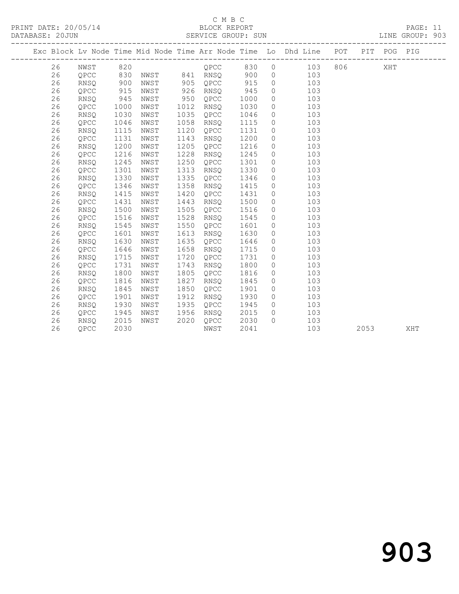# C M B C<br>BLOCK REPORT

PAGE: 11<br>LINE GROUP: 903

|  |    |             |      |      |      |      |      |          | Exc Block Lv Node Time Mid Node Time Arr Node Time Lo Dhd Line POT |     |      | PIT POG PIG |     |
|--|----|-------------|------|------|------|------|------|----------|--------------------------------------------------------------------|-----|------|-------------|-----|
|  | 26 | NWST        | 820  |      |      | QPCC | 830  | $\circ$  | 103                                                                | 806 |      | XHT         |     |
|  | 26 | QPCC        | 830  | NWST | 841  | RNSO | 900  | $\circ$  | 103                                                                |     |      |             |     |
|  | 26 | RNSQ        | 900  | NWST | 905  | QPCC | 915  | $\circ$  | 103                                                                |     |      |             |     |
|  | 26 | QPCC        | 915  | NWST | 926  | RNSQ | 945  | $\circ$  | 103                                                                |     |      |             |     |
|  | 26 | RNSQ        | 945  | NWST | 950  | OPCC | 1000 | $\circ$  | 103                                                                |     |      |             |     |
|  | 26 | QPCC        | 1000 | NWST | 1012 | RNSQ | 1030 | $\circ$  | 103                                                                |     |      |             |     |
|  | 26 | RNSQ        | 1030 | NWST | 1035 | QPCC | 1046 | $\circ$  | 103                                                                |     |      |             |     |
|  | 26 | QPCC        | 1046 | NWST | 1058 | RNSQ | 1115 | $\circ$  | 103                                                                |     |      |             |     |
|  | 26 | RNSQ        | 1115 | NWST | 1120 | QPCC | 1131 | $\circ$  | 103                                                                |     |      |             |     |
|  | 26 | QPCC        | 1131 | NWST | 1143 | RNSQ | 1200 | $\circ$  | 103                                                                |     |      |             |     |
|  | 26 | <b>RNSO</b> | 1200 | NWST | 1205 | QPCC | 1216 | $\circ$  | 103                                                                |     |      |             |     |
|  | 26 | OPCC        | 1216 | NWST | 1228 | RNSQ | 1245 | $\circ$  | 103                                                                |     |      |             |     |
|  | 26 | <b>RNSQ</b> | 1245 | NWST | 1250 | QPCC | 1301 | $\circ$  | 103                                                                |     |      |             |     |
|  | 26 | QPCC        | 1301 | NWST | 1313 | RNSQ | 1330 | $\circ$  | 103                                                                |     |      |             |     |
|  | 26 | RNSQ        | 1330 | NWST | 1335 | QPCC | 1346 | $\circ$  | 103                                                                |     |      |             |     |
|  | 26 | QPCC        | 1346 | NWST | 1358 | RNSO | 1415 | $\circ$  | 103                                                                |     |      |             |     |
|  | 26 | <b>RNSO</b> | 1415 | NWST | 1420 | QPCC | 1431 | $\circ$  | 103                                                                |     |      |             |     |
|  | 26 | QPCC        | 1431 | NWST | 1443 | RNSQ | 1500 | $\circ$  | 103                                                                |     |      |             |     |
|  | 26 | RNSQ        | 1500 | NWST | 1505 | QPCC | 1516 | $\circ$  | 103                                                                |     |      |             |     |
|  | 26 | QPCC        | 1516 | NWST | 1528 | RNSQ | 1545 | $\circ$  | 103                                                                |     |      |             |     |
|  | 26 | RNSQ        | 1545 | NWST | 1550 | QPCC | 1601 | $\circ$  | 103                                                                |     |      |             |     |
|  | 26 | QPCC        | 1601 | NWST | 1613 | RNSQ | 1630 | $\circ$  | 103                                                                |     |      |             |     |
|  | 26 | <b>RNSO</b> | 1630 | NWST | 1635 | QPCC | 1646 | $\circ$  | 103                                                                |     |      |             |     |
|  | 26 | QPCC        | 1646 | NWST | 1658 | RNSQ | 1715 | $\circ$  | 103                                                                |     |      |             |     |
|  | 26 | <b>RNSQ</b> | 1715 | NWST | 1720 | QPCC | 1731 | $\circ$  | 103                                                                |     |      |             |     |
|  | 26 | QPCC        | 1731 | NWST | 1743 | RNSQ | 1800 | $\circ$  | 103                                                                |     |      |             |     |
|  | 26 | <b>RNSO</b> | 1800 | NWST | 1805 | QPCC | 1816 | $\circ$  | 103                                                                |     |      |             |     |
|  | 26 | QPCC        | 1816 | NWST | 1827 | RNSO | 1845 | $\circ$  | 103                                                                |     |      |             |     |
|  | 26 | RNSQ        | 1845 | NWST | 1850 | QPCC | 1901 | $\circ$  | 103                                                                |     |      |             |     |
|  | 26 | QPCC        | 1901 | NWST | 1912 | RNSQ | 1930 | $\circ$  | 103                                                                |     |      |             |     |
|  | 26 | <b>RNSQ</b> | 1930 | NWST | 1935 | QPCC | 1945 | $\circ$  | 103                                                                |     |      |             |     |
|  | 26 | QPCC        | 1945 | NWST | 1956 | RNSQ | 2015 | $\circ$  | 103                                                                |     |      |             |     |
|  | 26 | RNSQ        | 2015 | NWST | 2020 | QPCC | 2030 | $\Omega$ | 103                                                                |     |      |             |     |
|  | 26 | QPCC        | 2030 |      |      | NWST | 2041 |          | 103                                                                |     | 2053 |             | XHT |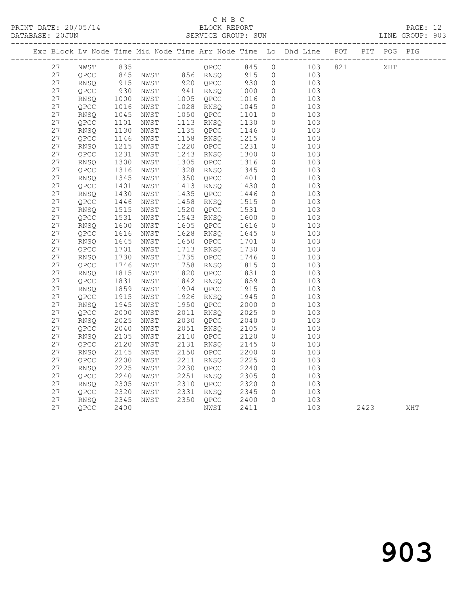## C M B C<br>BLOCK REPORT

PRINT DATE: 20/05/14 BLOCK REPORT BATABASE: 20JUN

PAGE: 12<br>LINE GROUP: 903

|          |              |               |              |                                  |                           |                    | Exc Block Lv Node Time Mid Node Time Arr Node Time Lo Dhd Line POT PIT POG PIG |      |     |     |
|----------|--------------|---------------|--------------|----------------------------------|---------------------------|--------------------|--------------------------------------------------------------------------------|------|-----|-----|
| 27       | NWST         |               |              | $QPCC$ 845                       |                           |                    | $\overline{0}$<br>103 821                                                      |      | XHT |     |
| 27       | QPCC         |               |              |                                  |                           | $\overline{0}$     | 103                                                                            |      |     |     |
| 27       | RNSO         |               |              |                                  | $930$<br>$1000$<br>$1016$ | $\overline{0}$     | 103                                                                            |      |     |     |
| 27       | QPCC         | $1000$<br>930 | NWST         | 941 RNSQ<br>1005 QPCC            |                           | $\overline{0}$     | 103                                                                            |      |     |     |
| 27       | RNSQ         |               | 1000 NWST    |                                  |                           | $\circ$            | 103                                                                            |      |     |     |
| 27       | QPCC         | 1016          | NWST         | 1028 RNSQ 1045<br>1050 QPCC 1101 |                           | $\circ$            | 103                                                                            |      |     |     |
| 27       | RNSQ         | 1045          | NWST         |                                  |                           | $\circ$            | 103                                                                            |      |     |     |
| 27       | QPCC         | 1101          | NWST         | 1113 RNSQ                        | 1130                      | $\circ$            | 103                                                                            |      |     |     |
| 27       | RNSQ         | 1130          | NWST         | 1135 QPCC                        | 1146<br>1215              | $\circ$            | 103                                                                            |      |     |     |
| 27       | QPCC         | 1146          | NWST         | 1158 RNSQ                        |                           | $\circ$            | 103                                                                            |      |     |     |
| 27       | RNSQ         | 1215          | NWST         | 1220 QPCC                        | 1231<br>1300              | $\circ$            | 103                                                                            |      |     |     |
| 27       | QPCC         | 1231          | NWST         | 1243 RNSQ                        |                           | $\circ$            | 103                                                                            |      |     |     |
| 27       | RNSQ         | 1300          | NWST         | 1305 QPCC                        | 1316                      | $\circ$            | 103                                                                            |      |     |     |
| 27       | QPCC         | 1316          | NWST         | 1328 RNSQ 1345<br>1350 QPCC 1401 |                           | $\circ$            | 103                                                                            |      |     |     |
| 27       | <b>RNSO</b>  | 1345          | NWST         |                                  |                           | $\circ$            | 103                                                                            |      |     |     |
| 27       | QPCC         | 1401          | NWST         | 1413 RNSQ                        | 1430<br>1446              | $\circ$            | 103                                                                            |      |     |     |
| 27       | RNSQ         | 1430          | NWST         | 1435 QPCC                        |                           | $\circ$            | 103                                                                            |      |     |     |
| 27<br>27 | QPCC         | 1446          | NWST<br>NWST | 1458 RNSQ<br>1520 QPCC           | 1515                      | $\circ$            | 103<br>103                                                                     |      |     |     |
| 27       | RNSQ         | 1515<br>1531  |              | 1543 RNSQ                        | 1531<br>1600              | $\circ$            | 103                                                                            |      |     |     |
| 27       | QPCC         | 1600          | NWST<br>NWST | 1605 QPCC                        |                           | $\circ$<br>$\circ$ | 103                                                                            |      |     |     |
| 27       | RNSQ<br>QPCC | 1616          | NWST         | 1628 RNSQ                        | 1616<br>1645              | $\circ$            | 103                                                                            |      |     |     |
| 27       | RNSQ         | 1645          | NWST         | 1650 QPCC                        |                           | $\circ$            | 103                                                                            |      |     |     |
| 27       | QPCC         | 1701          | NWST         | 1713 RNSQ                        | 1701<br>1730              | $\circ$            | 103                                                                            |      |     |     |
| 27       | RNSO         | 1730          | NWST         | 1735 QPCC 1746                   |                           | $\circ$            | 103                                                                            |      |     |     |
| 27       | QPCC         | 1746          | NWST         | 1758 RNSQ                        |                           | $\circ$            | 103                                                                            |      |     |     |
| 27       | RNSQ         | 1815          | NWST         | 1820 QPCC                        | 1815<br>1831              | $\circ$            | 103                                                                            |      |     |     |
| 27       | QPCC         | 1831          | NWST         | 1842 RNSQ                        |                           | $\circ$            | 103                                                                            |      |     |     |
| 27       | RNSQ         | 1859          | NWST         | 1904 QPCC                        | 1859<br>1915              | $\circ$            | 103                                                                            |      |     |     |
| 27       | QPCC         | 1915          | NWST         | 1926 RNSQ                        | 1945                      | $\circ$            | 103                                                                            |      |     |     |
| 27       | RNSQ         | 1945          | NWST         | 1950 QPCC                        |                           | $\circ$            | 103                                                                            |      |     |     |
| 27       | QPCC         | 2000          | NWST         | 2011 RNSQ                        | 2000<br>2025              | $\circ$            | 103                                                                            |      |     |     |
| 27       | RNSQ         | 2025          | NWST         | 2030 QPCC                        |                           | $\circ$            | 103                                                                            |      |     |     |
| 27       | QPCC         | 2040          | NWST         | 2051 RNSQ                        | 2040<br>2105              | $\circ$            | 103                                                                            |      |     |     |
| 27       | RNSQ         | 2105          | NWST         | 2110 QPCC                        | 2120                      | 0                  | 103                                                                            |      |     |     |
| 27       | QPCC         | 2120          | NWST         | 2131 RNSQ                        | 2145                      | $\circ$            | 103                                                                            |      |     |     |
| 27       | <b>RNSO</b>  | 2145          | NWST         | 2150 QPCC                        | 2200                      | $\circ$            | 103                                                                            |      |     |     |
| 27       | QPCC         | 2200          | NWST         | 2211 RNSQ                        | 2225<br>2240              | $\circ$            | 103                                                                            |      |     |     |
| 27       | RNSQ         | 2225          | NWST         | 2230 QPCC                        |                           | $\circ$            | 103                                                                            |      |     |     |
| 27       | QPCC         | 2240          | NWST         | 2251 RNSQ                        | 2305<br>2320              | $\circ$            | 103                                                                            |      |     |     |
| 27       | RNSQ         | 2305          | NWST         | 2310 QPCC                        |                           | $\circ$            | 103                                                                            |      |     |     |
| 27       | QPCC         | 2320          | NWST         | 2331 RNSQ                        | 2345                      | $\circ$            | 103                                                                            |      |     |     |
| 27       | RNSQ         | 2345<br>2400  | NWST         | 2350 QPCC                        | 2400<br>2411              | $\Omega$           | 103                                                                            |      |     |     |
| 27       | QPCC         |               |              | NWST                             |                           |                    | 103                                                                            | 2423 |     | XHT |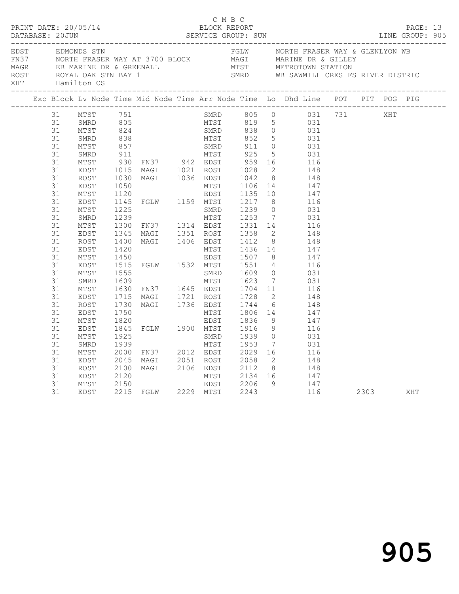|  |                                                                                                                                                                      |                                                                                                                                                                                              |                                      |                                                                                                                                                                                                                                              |              |                                   |                |                                                                                                                                                                                                                                                                                                                                                                                                                                                                                                                                                                                                                                                                                                                                                                                                                                                                                                         |          |     | PAGE: 13<br>LINE GROUP: 905 |  |
|--|----------------------------------------------------------------------------------------------------------------------------------------------------------------------|----------------------------------------------------------------------------------------------------------------------------------------------------------------------------------------------|--------------------------------------|----------------------------------------------------------------------------------------------------------------------------------------------------------------------------------------------------------------------------------------------|--------------|-----------------------------------|----------------|---------------------------------------------------------------------------------------------------------------------------------------------------------------------------------------------------------------------------------------------------------------------------------------------------------------------------------------------------------------------------------------------------------------------------------------------------------------------------------------------------------------------------------------------------------------------------------------------------------------------------------------------------------------------------------------------------------------------------------------------------------------------------------------------------------------------------------------------------------------------------------------------------------|----------|-----|-----------------------------|--|
|  |                                                                                                                                                                      | XHT Hamilton CS                                                                                                                                                                              |                                      |                                                                                                                                                                                                                                              |              |                                   |                | EDST EDMONDS STN<br>FN37 NORTH FRASER WAY AT 3700 BLOCK MAGI MARINE DR & GILLEY<br>MAGR EB MARINE DR & GREENALL MTST METROTOWN STATION<br>ROST ROYAL OAK STN BAY 1 SMRD WE SAWMILL CRES FS RIVER DISTRIC                                                                                                                                                                                                                                                                                                                                                                                                                                                                                                                                                                                                                                                                                                |          |     |                             |  |
|  |                                                                                                                                                                      |                                                                                                                                                                                              |                                      |                                                                                                                                                                                                                                              |              |                                   |                | Exc Block Lv Node Time Mid Node Time Arr Node Time Lo Dhd Line POT PIT POG PIG                                                                                                                                                                                                                                                                                                                                                                                                                                                                                                                                                                                                                                                                                                                                                                                                                          |          |     |                             |  |
|  | 31<br>31<br>31<br>31<br>31<br>31<br>31<br>31<br>31<br>31<br>31<br>31<br>31<br>31<br>31<br>31<br>31<br>31<br>31<br>31<br>31<br>31<br>31<br>31<br>31<br>31<br>31<br>31 | MTST<br>SMRD<br>MTST<br>EDST<br>ROST<br>EDST<br>MTST<br>EDST<br>MTST<br>SMRD<br>MTST<br>EDST<br>ROST<br>EDST<br>MTST<br>EDST<br>MTST<br>SMRD<br>MTST<br>EDST<br>ROST<br>EDST<br>MTST<br>EDST | 1300<br>1345<br>1750<br>1820<br>1845 | Lv<br>--------------<br>MTST 751<br>SMRD 805<br>MTST 824<br>SMRD 838<br>MTST 857<br>- 911<br>FN37 94<br>$\overline{\phantom{a}}$ ר ביתים $\overline{\phantom{a}}$<br>1555<br>1609 MTST<br>1600 FN37 1645 EDST<br>1721 POST<br>FGLW 1900 MTST | MTST<br>EDST | 1806 14<br>1836 9<br>1916<br>1939 |                | SMRD 805 0 031 731<br>MTST 819 5 031<br>805<br>824 SMRD 838 0 031<br>838 MTST 852 5 031<br>857 SMRD 911 0 031<br>911 MTST 925 5 031<br>930 FN37 942 EDST 959 16 116<br>1015 MAGI 1021 ROST 1028 2 148<br>1030 MAGI 1036 EDST 1042 8 148<br>1050<br>1050 MTST 1106 14 147<br>1120<br>1145 FCL<br>1050<br>1050 MTST 1106 14<br>1120 EDST 1135 10 147<br>1145 FGLW 1159 MTST 1217 8 116<br>1225 SMRD 1239 0 031<br>1239 0 031<br>1239 5MKD 1239 0 031<br>1239 MTST 1253 7 031<br>1300 FN37 1314 EDST 1331 14 116<br>1345 MAGI 1351 ROST 1358 2 148<br>1400 MAGI 1406 EDST 1412 8 148<br>1420 MTST 1436 14 147<br>1450 EDST 1507 8 147<br>1515 FGLW 1532 MTST 1551 4 116<br>1555<br>SMRD 1609 0 031<br>MTST 1623 7 031<br>1630 FN37 1645 EDST 1704 11 116<br>1715 MAGI 1721 ROST 1728 2 148<br>1730 MAGI 1736 EDST 1744 6 148<br>147<br>9<br>147<br>$\begin{array}{ccc} 9 & & 116 \\ 0 & & 031 \end{array}$ |          | XHT |                             |  |
|  | 31<br>31<br>31<br>31<br>31<br>31<br>31<br>31                                                                                                                         | MTST<br>SMRD<br>MTST<br>EDST<br>ROST<br>EDST<br>MTST<br>EDST                                                                                                                                 | 1925<br>1939<br>2000                 | SMRD<br>MTST<br>FN37 2012 EDST<br>2045 MAGI 2051 ROST 2058<br>2045 MAGI 2051 ROST 2058<br>2100 MAGI 2106 EDST 2112<br>2120 MTST 2134<br>2150 EDST 2206<br>2215 FGLW 2229 MTST 2243                                                           | SMRD         | 1953 7<br>2029 16                 | 8 <sup>1</sup> | 031<br>116<br>$2 \qquad \qquad 148$<br>148<br>MTST 2134 16 147<br>EDST 2206 9 147<br>MTST 2243 116                                                                                                                                                                                                                                                                                                                                                                                                                                                                                                                                                                                                                                                                                                                                                                                                      | 2303 XHT |     |                             |  |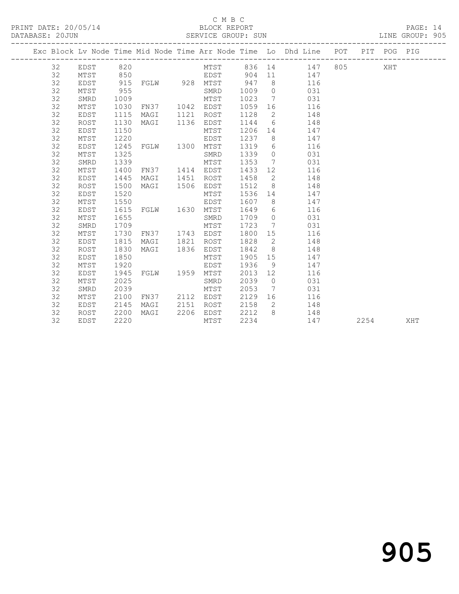### C M B C<br>BLOCK REPORT

PAGE: 14<br>LINE GROUP: 905

|  |          |              |              |                        |      |              |              |                 | Exc Block Lv Node Time Mid Node Time Arr Node Time Lo Dhd Line POT PIT POG PIG |      |     |
|--|----------|--------------|--------------|------------------------|------|--------------|--------------|-----------------|--------------------------------------------------------------------------------|------|-----|
|  | 32       | EDST         | 820          |                        |      |              |              |                 | MTST 836 14 147 805 XHT                                                        |      |     |
|  | 32       | MTST         | 850          |                        |      | EDST         |              |                 | 904 11<br>147                                                                  |      |     |
|  | 32       | EDST         | 915          | FGLW 928 MTST          |      |              | 947          | 8 <sup>8</sup>  | 116                                                                            |      |     |
|  | 32       | MTST         | 955          |                        |      | SMRD         | 1009         | $\overline{0}$  | 031                                                                            |      |     |
|  | 32       | SMRD         | 1009         |                        |      | MTST         | 1023         |                 | 7<br>031                                                                       |      |     |
|  | 32       | MTST         | 1030         | FN37 1042 EDST         |      |              | 1059         |                 | 116                                                                            |      |     |
|  | 32       | EDST         | 1115         | MAGI 1121              |      | ROST         | 1128         |                 | $\overline{2}$<br>148                                                          |      |     |
|  | 32       | ROST         | 1130         | MAGI 1136              |      | EDST         | 1144         |                 | $6\degree$<br>148                                                              |      |     |
|  | 32       | EDST         | 1150         |                        |      | MTST         | 1206 14      |                 | 147                                                                            |      |     |
|  | 32       | MTST         | 1220         |                        |      | EDST         | 1237         | 8 <sup>1</sup>  | 147                                                                            |      |     |
|  | 32       | EDST         | 1245         | FGLW 1300 MTST         |      |              | 1319         | 6               | 116                                                                            |      |     |
|  | 32       | MTST         | 1325         |                        |      | SMRD         | 1339         | $\overline{0}$  | 031                                                                            |      |     |
|  | 32       | SMRD         | 1339         |                        |      | MTST         | 1353         | $\overline{7}$  | 031                                                                            |      |     |
|  | 32       | MTST         | 1400         | FN37 1414 EDST         |      |              | 1433         | 12              | 116                                                                            |      |     |
|  | 32       | EDST         | 1445         | MAGI                   | 1451 | ROST         | 1458         | $\overline{2}$  | 148                                                                            |      |     |
|  | 32       | ROST         | 1500         | MAGI                   | 1506 | EDST         | 1512         | 8               | 148                                                                            |      |     |
|  | 32       | EDST         | 1520         |                        |      | MTST         | 1536         |                 | 14 \,<br>147                                                                   |      |     |
|  | 32       | MTST         | 1550         |                        |      | EDST         | 1607         | 8               | 147                                                                            |      |     |
|  | 32       | EDST         | 1615         | FGLW 1630 MTST         |      |              | 1649         | $6\overline{6}$ | 116                                                                            |      |     |
|  | 32       | MTST         | 1655         |                        |      | SMRD         | 1709         | $\overline{0}$  | 031                                                                            |      |     |
|  | 32       | SMRD         | 1709         |                        |      | MTST         | 1723         | $\overline{7}$  | 031                                                                            |      |     |
|  | 32       | MTST         | 1730         | FN37 1743 EDST         |      |              | 1800         | 15              | 116                                                                            |      |     |
|  | 32       | EDST         | 1815         | MAGI                   | 1821 | ROST         | 1828         | $\overline{2}$  | 148                                                                            |      |     |
|  | 32       | ROST         | 1830         | MAGI                   |      | 1836 EDST    | 1842         | 8 <sup>8</sup>  | 148                                                                            |      |     |
|  | 32       | EDST         | 1850         |                        |      | MTST         | 1905         | 15              | 147                                                                            |      |     |
|  | 32       | MTST         | 1920         |                        |      | EDST         | 1936         | 9               | 147                                                                            |      |     |
|  | 32       | EDST         | 1945         | FGLW 1959              |      | MTST         | 2013         | 12              | 116                                                                            |      |     |
|  | 32       | MTST         | 2025         |                        |      | SMRD         | 2039         | $\overline{0}$  | 031                                                                            |      |     |
|  | 32       | SMRD         | 2039         |                        |      | MTST         | 2053         | $\overline{7}$  | 031                                                                            |      |     |
|  | 32<br>32 | MTST<br>EDST | 2100<br>2145 | FN37 2112 EDST<br>MAGI | 2151 |              | 2129<br>2158 |                 | 116<br>$\overline{2}$<br>148                                                   |      |     |
|  | 32       | ROST         | 2200         | MAGI                   | 2206 | ROST<br>EDST | 2212         |                 | 8 - 10<br>148                                                                  |      |     |
|  | 32       | EDST         | 2220         |                        |      | MTST         | 2234         |                 | 147                                                                            | 2254 | XHT |
|  |          |              |              |                        |      |              |              |                 |                                                                                |      |     |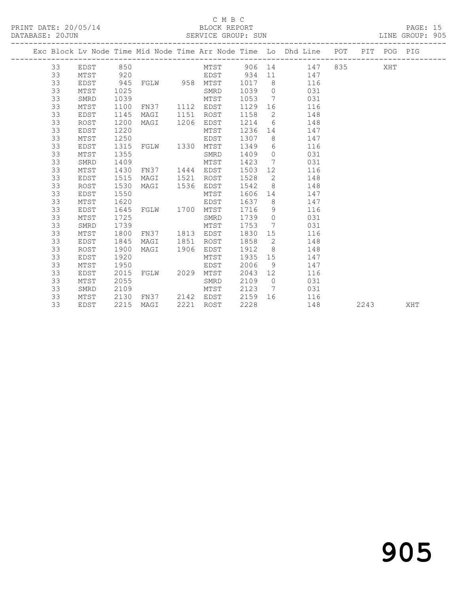### C M B C<br>BLOCK REPORT

PAGE: 15<br>LINE GROUP: 905

|  |    |          |      |                |      |           |         |                 | Exc Block Lv Node Time Mid Node Time Arr Node Time Lo Dhd Line POT PIT POG PIG |        |      |     |     |
|--|----|----------|------|----------------|------|-----------|---------|-----------------|--------------------------------------------------------------------------------|--------|------|-----|-----|
|  | 33 | EDST 850 |      |                |      |           |         |                 | MTST 906 14 147                                                                | 835 83 |      | XHT |     |
|  | 33 | MTST     | 920  |                |      |           |         |                 | EDST 934 11 147<br>FGLW 958 MTST 1017 8 116                                    |        |      |     |     |
|  | 33 | EDST     | 945  |                |      |           |         |                 |                                                                                |        |      |     |     |
|  | 33 | MTST     | 1025 |                |      | SMRD      | 1039    |                 | 0 0 0 3 1                                                                      |        |      |     |     |
|  | 33 | SMRD     | 1039 |                |      | MTST      | 1053    |                 | 7<br>031                                                                       |        |      |     |     |
|  | 33 | MTST     | 1100 | FN37 1112 EDST |      |           | 1129    |                 | 16<br>116                                                                      |        |      |     |     |
|  | 33 | EDST     | 1145 | MAGI           | 1151 | ROST      | 1158    | $\overline{2}$  | 148                                                                            |        |      |     |     |
|  | 33 | ROST     | 1200 | MAGI           | 1206 | EDST      | 1214    | $6\overline{6}$ | 148                                                                            |        |      |     |     |
|  | 33 | EDST     | 1220 |                |      | MTST      | 1236    |                 | 147                                                                            |        |      |     |     |
|  | 33 | MTST     | 1250 |                |      | EDST      | 1307    |                 | 8<br>147                                                                       |        |      |     |     |
|  | 33 | EDST     | 1315 | FGLW 1330 MTST |      |           | 1349    |                 | $6\degree$<br>116                                                              |        |      |     |     |
|  | 33 | MTST     | 1355 |                |      | SMRD      | 1409    |                 | $\overline{0}$<br>031                                                          |        |      |     |     |
|  | 33 | SMRD     | 1409 |                |      | MTST      | 1423    | $7\overline{ }$ | 031                                                                            |        |      |     |     |
|  | 33 | MTST     | 1430 | FN37 1444 EDST |      |           | 1503    |                 | 12 and $\overline{a}$<br>116                                                   |        |      |     |     |
|  | 33 | EDST     | 1515 | MAGI           | 1521 | ROST      | 1528    |                 | $\overline{2}$<br>148                                                          |        |      |     |     |
|  | 33 | ROST     | 1530 | MAGI 1536      |      | EDST      | 1542    |                 | $8 \overline{)}$<br>148                                                        |        |      |     |     |
|  | 33 | EDST     | 1550 |                |      | MTST      | 1606    | 14              | 147                                                                            |        |      |     |     |
|  | 33 | MTST     | 1620 |                |      | EDST      | 1637    | 8 <sup>8</sup>  | 147                                                                            |        |      |     |     |
|  | 33 | EDST     | 1645 | FGLW 1700 MTST |      |           | 1716    | 9 <sup>°</sup>  | 116                                                                            |        |      |     |     |
|  | 33 | MTST     | 1725 |                |      | SMRD      | 1739    |                 | $\overline{0}$<br>031                                                          |        |      |     |     |
|  | 33 | SMRD     | 1739 |                |      | MTST      | 1753    |                 | 031<br>$7\overline{ }$                                                         |        |      |     |     |
|  | 33 | MTST     | 1800 | FN37 1813 EDST |      |           | 1830 15 |                 | 116                                                                            |        |      |     |     |
|  | 33 | EDST     | 1845 | MAGI           |      | 1851 ROST | 1858    | $\overline{2}$  | 148                                                                            |        |      |     |     |
|  | 33 | ROST     | 1900 | MAGI           | 1906 | EDST      | 1912    | 8 <sup>8</sup>  | 148                                                                            |        |      |     |     |
|  | 33 | EDST     | 1920 |                |      | MTST      | 1935    | 15              | 147                                                                            |        |      |     |     |
|  | 33 | MTST     | 1950 |                |      | EDST      | 2006    | - 9             | 147                                                                            |        |      |     |     |
|  | 33 | EDST     | 2015 | FGLW 2029      |      | MTST      | 2043    | 12              | 116                                                                            |        |      |     |     |
|  | 33 | MTST     | 2055 |                |      | SMRD      | 2109    | $\overline{0}$  | 031                                                                            |        |      |     |     |
|  | 33 | SMRD     | 2109 |                |      | MTST      | 2123    | $7\overline{ }$ | 031                                                                            |        |      |     |     |
|  | 33 | MTST     | 2130 | FN37 2142 EDST |      |           | 2159    |                 | 116                                                                            |        |      |     |     |
|  | 33 | EDST     | 2215 | MAGI           | 2221 | ROST      | 2228    |                 | 148                                                                            |        | 2243 |     | XHT |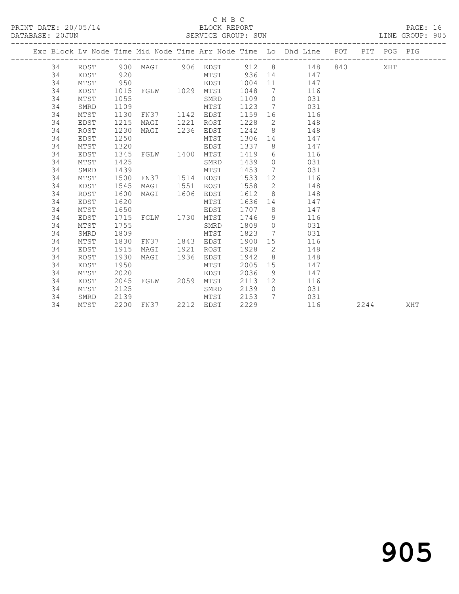### C M B C

### DATABASE: 20JUN SERVICE GROUP: SUN LINE GROUP: 905

|  |    |             |      |                              |      |             | ----------------- |                 | Exc Block Lv Node Time Mid Node Time Arr Node Time Lo Dhd Line POT PIT POG PIG |                                                                                                                                                                                                                                 |      |     |     |
|--|----|-------------|------|------------------------------|------|-------------|-------------------|-----------------|--------------------------------------------------------------------------------|---------------------------------------------------------------------------------------------------------------------------------------------------------------------------------------------------------------------------------|------|-----|-----|
|  | 34 |             |      | ROST 900 MAGI 906 EDST 912 8 |      |             |                   |                 | 148                                                                            | 840 — 100 — 100 — 100 — 100 — 100 — 100 — 100 — 100 — 100 — 100 — 100 — 100 — 100 — 100 — 100 — 100 — 100 — 100 — 100 — 100 — 100 — 100 — 100 — 100 — 100 — 100 — 100 — 100 — 100 — 100 — 100 — 100 — 100 — 100 — 100 — 100 — 1 |      | XHT |     |
|  | 34 | EDST        | 920  |                              |      | MTST 936 14 |                   |                 | 147                                                                            |                                                                                                                                                                                                                                 |      |     |     |
|  | 34 | MTST        | 950  |                              |      | EDST        | 1004              | 11              | 147                                                                            |                                                                                                                                                                                                                                 |      |     |     |
|  | 34 | EDST        | 1015 | FGLW 1029 MTST               |      |             | 1048              | 7               | 116                                                                            |                                                                                                                                                                                                                                 |      |     |     |
|  | 34 | MTST        | 1055 |                              |      | SMRD        | 1109              | $\overline{0}$  | 031                                                                            |                                                                                                                                                                                                                                 |      |     |     |
|  | 34 | SMRD        | 1109 |                              |      | MTST        | 1123              |                 | 031<br>7                                                                       |                                                                                                                                                                                                                                 |      |     |     |
|  | 34 | MTST        | 1130 | FN37                         | 1142 | EDST        | 1159              |                 | 116                                                                            |                                                                                                                                                                                                                                 |      |     |     |
|  | 34 | EDST        | 1215 | MAGI                         | 1221 | ROST        | 1228              | $\overline{2}$  | 148                                                                            |                                                                                                                                                                                                                                 |      |     |     |
|  | 34 | ROST        | 1230 | MAGI                         | 1236 | EDST        | 1242              | 8 <sup>8</sup>  | 148                                                                            |                                                                                                                                                                                                                                 |      |     |     |
|  | 34 | EDST        | 1250 |                              |      | MTST        | 1306              |                 | 14 \,<br>147                                                                   |                                                                                                                                                                                                                                 |      |     |     |
|  | 34 | MTST        | 1320 |                              |      | EDST        | 1337              |                 | $8 \overline{)}$<br>147                                                        |                                                                                                                                                                                                                                 |      |     |     |
|  | 34 | EDST        | 1345 | FGLW 1400                    |      | MTST        | 1419              | 6               | 116                                                                            |                                                                                                                                                                                                                                 |      |     |     |
|  | 34 | MTST        | 1425 |                              |      | SMRD        | 1439              | $\overline{0}$  | 031                                                                            |                                                                                                                                                                                                                                 |      |     |     |
|  | 34 | SMRD        | 1439 |                              |      | MTST        | 1453              | $\overline{7}$  | 031                                                                            |                                                                                                                                                                                                                                 |      |     |     |
|  | 34 | MTST        | 1500 | FN37                         | 1514 | EDST        | 1533              |                 | 12 and $\overline{a}$<br>116                                                   |                                                                                                                                                                                                                                 |      |     |     |
|  | 34 | EDST        | 1545 | MAGI                         | 1551 | ROST        | 1558              | $\overline{2}$  | 148                                                                            |                                                                                                                                                                                                                                 |      |     |     |
|  | 34 | ROST        | 1600 | MAGI                         | 1606 | EDST        | 1612              | 8 <sup>8</sup>  | 148                                                                            |                                                                                                                                                                                                                                 |      |     |     |
|  | 34 | <b>EDST</b> | 1620 |                              |      | MTST        | 1636              | 14              | 147                                                                            |                                                                                                                                                                                                                                 |      |     |     |
|  | 34 | MTST        | 1650 |                              |      | EDST        | 1707              | 8 <sup>8</sup>  | 147                                                                            |                                                                                                                                                                                                                                 |      |     |     |
|  | 34 | EDST        | 1715 | FGLW 1730                    |      | MTST        | 1746              |                 | $9 \sim$<br>116                                                                |                                                                                                                                                                                                                                 |      |     |     |
|  | 34 | MTST        | 1755 |                              |      | SMRD        | 1809              |                 | $\overline{0}$<br>031                                                          |                                                                                                                                                                                                                                 |      |     |     |
|  | 34 | SMRD        | 1809 |                              |      | MTST        | 1823              | $7\overline{ }$ | 031                                                                            |                                                                                                                                                                                                                                 |      |     |     |
|  | 34 | MTST        | 1830 | FN37                         | 1843 | EDST        | 1900              | 15              | 116                                                                            |                                                                                                                                                                                                                                 |      |     |     |
|  | 34 | EDST        | 1915 | MAGI                         | 1921 | ROST        | 1928              | $\overline{2}$  | 148                                                                            |                                                                                                                                                                                                                                 |      |     |     |
|  | 34 | ROST        | 1930 | MAGI                         | 1936 | EDST        | 1942              | 8 <sup>8</sup>  | 148                                                                            |                                                                                                                                                                                                                                 |      |     |     |
|  | 34 | EDST        | 1950 |                              |      | MTST        | 2005              | 15              | 147                                                                            |                                                                                                                                                                                                                                 |      |     |     |
|  | 34 | MTST        | 2020 |                              |      | EDST        | 2036              | 9               | 147                                                                            |                                                                                                                                                                                                                                 |      |     |     |
|  | 34 | EDST        | 2045 | FGLW 2059                    |      | MTST        | 2113              |                 | 12 and $\overline{a}$<br>116                                                   |                                                                                                                                                                                                                                 |      |     |     |
|  | 34 | MTST        | 2125 |                              |      | SMRD        | 2139              |                 | 031<br>$\overline{0}$                                                          |                                                                                                                                                                                                                                 |      |     |     |
|  | 34 | SMRD        | 2139 |                              |      | MTST        | 2153              |                 | 7<br>031                                                                       |                                                                                                                                                                                                                                 |      |     |     |
|  | 34 | MTST        |      | 2200 FN37 2212 EDST          |      |             | 2229              |                 | 116                                                                            |                                                                                                                                                                                                                                 | 2244 |     | XHT |

905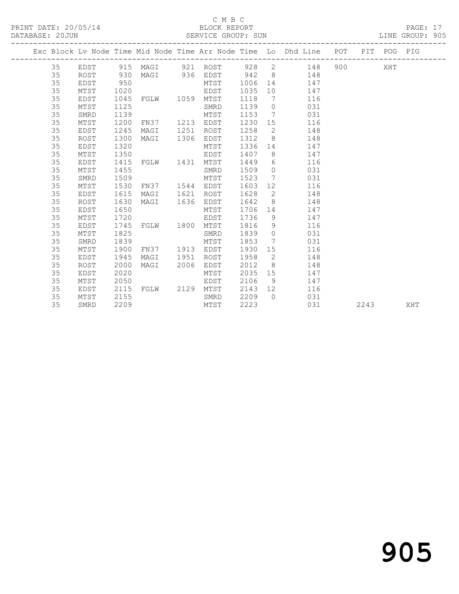### C M B C<br>BLOCK REPORT

PAGE: 17<br>LINE GROUP: 905

|  |    |             |      |                         |      |                     |         |                 | Exc Block Lv Node Time Mid Node Time Arr Node Time Lo Dhd Line POT PIT POG PIG |         |      |     |     |
|--|----|-------------|------|-------------------------|------|---------------------|---------|-----------------|--------------------------------------------------------------------------------|---------|------|-----|-----|
|  | 35 | EDST        |      | 915 MAGI 921 ROST 928 2 |      |                     |         |                 | 148                                                                            | 900 000 |      | XHT |     |
|  | 35 | ROST        | 930  |                         |      | MAGI 936 EDST 942 8 |         |                 | 148                                                                            |         |      |     |     |
|  | 35 | EDST        | 950  |                         |      | MTST                | 1006 14 |                 | 147                                                                            |         |      |     |     |
|  | 35 | MTST        | 1020 |                         |      | EDST                | 1035    | 10              | 147                                                                            |         |      |     |     |
|  | 35 | EDST        | 1045 | FGLW 1059               |      | MTST                | 1118    | 7               | 116                                                                            |         |      |     |     |
|  | 35 | MTST        | 1125 |                         |      | SMRD                | 1139    | $\overline{0}$  | 031                                                                            |         |      |     |     |
|  | 35 | SMRD        | 1139 |                         |      | MTST                | 1153    | $\overline{7}$  | 031                                                                            |         |      |     |     |
|  | 35 | MTST        | 1200 | FN37                    | 1213 | EDST                | 1230    | 15              | 116                                                                            |         |      |     |     |
|  | 35 | EDST        | 1245 | MAGI                    | 1251 | ROST                | 1258    | $\overline{2}$  | 148                                                                            |         |      |     |     |
|  | 35 | ROST        | 1300 | MAGI                    | 1306 | EDST                | 1312    | 8               | 148                                                                            |         |      |     |     |
|  | 35 | EDST        | 1320 |                         |      | MTST                | 1336    |                 | 14<br>147                                                                      |         |      |     |     |
|  | 35 | MTST        | 1350 |                         |      | EDST                | 1407    |                 | $8 \overline{)}$<br>147                                                        |         |      |     |     |
|  | 35 | EDST        | 1415 | FGLW 1431 MTST          |      |                     | 1449    | 6               | 116                                                                            |         |      |     |     |
|  | 35 | MTST        | 1455 |                         |      | SMRD                | 1509    | $\overline{0}$  | 031                                                                            |         |      |     |     |
|  | 35 | SMRD        | 1509 |                         |      | MTST                | 1523    | $7\overline{ }$ | 031                                                                            |         |      |     |     |
|  | 35 | MTST        | 1530 | FN37 1544               |      | EDST                | 1603    |                 | 116<br>12 and $\overline{a}$                                                   |         |      |     |     |
|  | 35 | EDST        | 1615 | MAGI                    | 1621 | ROST                | 1628    | $\overline{2}$  | 148                                                                            |         |      |     |     |
|  | 35 | ROST        | 1630 | MAGI                    | 1636 | EDST                | 1642    | 8 <sup>8</sup>  | 148                                                                            |         |      |     |     |
|  | 35 | EDST        | 1650 |                         |      | MTST                | 1706    | 14              | 147                                                                            |         |      |     |     |
|  | 35 | MTST        | 1720 |                         |      | EDST                | 1736    | 9               | 147                                                                            |         |      |     |     |
|  | 35 | <b>EDST</b> | 1745 | FGLW 1800               |      | MTST                | 1816    | 9               | 116                                                                            |         |      |     |     |
|  | 35 | MTST        | 1825 |                         |      | SMRD                | 1839    | $\overline{0}$  | 031                                                                            |         |      |     |     |
|  | 35 | SMRD        | 1839 |                         |      | MTST                | 1853    | $7\overline{ }$ | 031                                                                            |         |      |     |     |
|  | 35 | MTST        | 1900 | FN37                    |      | 1913 EDST           | 1930    | 15              | 116                                                                            |         |      |     |     |
|  | 35 | EDST        | 1945 | MAGI                    | 1951 | ROST                | 1958    | $\overline{2}$  | 148                                                                            |         |      |     |     |
|  | 35 | <b>ROST</b> | 2000 | MAGI                    | 2006 | EDST                | 2012    | 8               | 148                                                                            |         |      |     |     |
|  | 35 | EDST        | 2020 |                         |      | MTST                | 2035    | 15              | 147                                                                            |         |      |     |     |
|  | 35 | MTST        | 2050 |                         |      | EDST                | 2106    | 9 <sup>°</sup>  | 147                                                                            |         |      |     |     |
|  | 35 | EDST        | 2115 | FGLW 2129               |      | MTST                | 2143    | 12              | 116                                                                            |         |      |     |     |
|  | 35 | MTST        | 2155 |                         |      | SMRD                | 2209    | $\bigcap$       | 031                                                                            |         |      |     |     |
|  | 35 | SMRD        | 2209 |                         |      | MTST                | 2223    |                 | 031                                                                            |         | 2243 |     | XHT |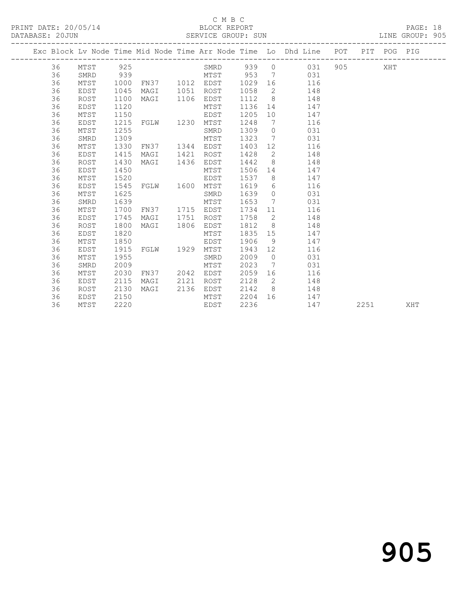### C M B C

### DATABASE: 20JUN SERVICE GROUP: SUN LINE GROUP: 905

|  |    |      |      |                |      |            |         |                 | Exc Block Lv Node Time Mid Node Time Arr Node Time Lo Dhd Line POT PIT POG PIG |      |     |     |
|--|----|------|------|----------------|------|------------|---------|-----------------|--------------------------------------------------------------------------------|------|-----|-----|
|  | 36 | MTST | 925  |                |      | SMRD 939 0 |         |                 | 031                                                                            |      | XHT |     |
|  | 36 | SMRD | 939  |                |      | MTST 953   |         |                 | $7\overline{ }$<br>031                                                         |      |     |     |
|  | 36 | MTST | 1000 | FN37 1012 EDST |      |            | 1029 16 |                 | 116                                                                            |      |     |     |
|  | 36 | EDST | 1045 | MAGI           |      | 1051 ROST  | 1058    | $\overline{2}$  | 148                                                                            |      |     |     |
|  | 36 | ROST | 1100 | MAGI           | 1106 | EDST       | 1112    | 8 <sup>8</sup>  | 148                                                                            |      |     |     |
|  | 36 | EDST | 1120 |                |      | MTST       | 1136    |                 | 147                                                                            |      |     |     |
|  | 36 | MTST | 1150 |                |      | EDST       | 1205    | 10              | 147                                                                            |      |     |     |
|  | 36 | EDST | 1215 | FGLW 1230      |      | MTST       | 1248    | $\overline{7}$  | 116                                                                            |      |     |     |
|  | 36 | MTST | 1255 |                |      | SMRD       | 1309    | $\overline{0}$  | 031                                                                            |      |     |     |
|  | 36 | SMRD | 1309 |                |      | MTST       | 1323    |                 | 7<br>031                                                                       |      |     |     |
|  | 36 | MTST | 1330 | FN37 1344      |      | EDST       | 1403    |                 | 116                                                                            |      |     |     |
|  | 36 | EDST | 1415 | MAGI           | 1421 | ROST       | 1428    | $\overline{2}$  | 148                                                                            |      |     |     |
|  | 36 | ROST | 1430 | MAGI           | 1436 | EDST       | 1442    | 8 <sup>8</sup>  | 148                                                                            |      |     |     |
|  | 36 | EDST | 1450 |                |      | MTST       | 1506    | 14              | 147                                                                            |      |     |     |
|  | 36 | MTST | 1520 |                |      | EDST       | 1537    | 8 <sup>8</sup>  | 147                                                                            |      |     |     |
|  | 36 | EDST | 1545 | FGLW 1600      |      | MTST       | 1619    | 6               | 116                                                                            |      |     |     |
|  | 36 | MTST | 1625 |                |      | SMRD       | 1639    | $\overline{0}$  | 031                                                                            |      |     |     |
|  | 36 | SMRD | 1639 |                |      | MTST       | 1653    | $7\overline{ }$ | 031                                                                            |      |     |     |
|  | 36 | MTST | 1700 | FN37           |      | 1715 EDST  | 1734    | 11              | 116                                                                            |      |     |     |
|  | 36 | EDST | 1745 | MAGI           | 1751 | ROST       | 1758    | $\overline{2}$  | 148                                                                            |      |     |     |
|  | 36 | ROST | 1800 | MAGI           | 1806 | EDST       | 1812    | 8 <sup>8</sup>  | 148                                                                            |      |     |     |
|  | 36 | EDST | 1820 |                |      | MTST       | 1835    | 15              | 147                                                                            |      |     |     |
|  | 36 | MTST | 1850 |                |      | EDST       | 1906    | 9 <sup>°</sup>  | 147                                                                            |      |     |     |
|  | 36 | EDST | 1915 | FGLW 1929      |      | MTST       | 1943    | 12              | 116                                                                            |      |     |     |
|  | 36 | MTST | 1955 |                |      | SMRD       | 2009    | $\overline{0}$  | 031                                                                            |      |     |     |
|  | 36 | SMRD | 2009 |                |      | MTST       | 2023    | 7               | 031                                                                            |      |     |     |
|  | 36 | MTST | 2030 | FN37           | 2042 | EDST       | 2059    | 16              | 116                                                                            |      |     |     |
|  | 36 | EDST | 2115 | MAGI           | 2121 | ROST       | 2128    | $\overline{2}$  | 148                                                                            |      |     |     |
|  | 36 | ROST | 2130 | MAGI           | 2136 | EDST       | 2142    | 8 <sup>8</sup>  | 148                                                                            |      |     |     |
|  | 36 | EDST | 2150 |                |      | MTST       | 2204    | 16              | 147                                                                            |      |     |     |
|  | 36 | MTST | 2220 |                |      | EDST       | 2236    |                 | 147                                                                            | 2251 |     | XHT |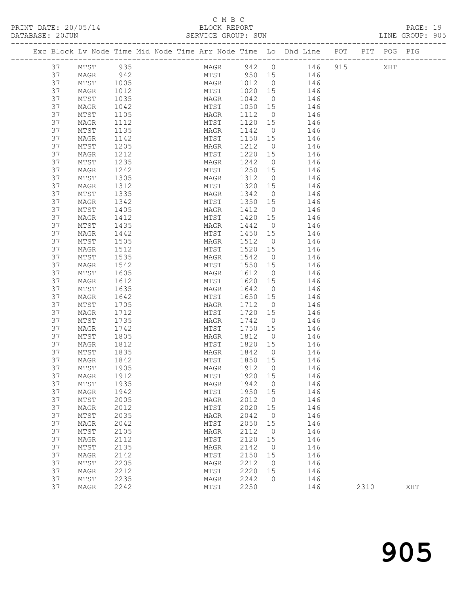PRINT DATE: 20/05/14 BLOCK REPORT<br>
DATABASE: 20JUN SERVICE GROUP: SUN

# C M B C<br>BLOCK REPORT

| DATABASE: 20JUN |          |              |              | SERVICE GROUP: SUN                                                             |                   |                      |                        |  | LINE GROUP: 905 |  |
|-----------------|----------|--------------|--------------|--------------------------------------------------------------------------------|-------------------|----------------------|------------------------|--|-----------------|--|
|                 |          |              |              | Exc Block Lv Node Time Mid Node Time Arr Node Time Lo Dhd Line POT PIT POG PIG |                   |                      |                        |  |                 |  |
|                 | 37       | MTST         | 935          |                                                                                |                   |                      | MAGR 942 0 146 915 XHT |  |                 |  |
|                 | 37       | MAGR         | 942          |                                                                                |                   |                      | MTST 950 15 146        |  |                 |  |
|                 | 37       | MTST         | 1005         | MAGR 1012 0<br>MTST 1020 15                                                    |                   |                      | 146                    |  |                 |  |
|                 | 37       | MAGR         | 1012         |                                                                                |                   |                      | 146                    |  |                 |  |
|                 | 37       | MTST         | 1035         | MAGR 1042                                                                      |                   | $\overline{0}$       | 146                    |  |                 |  |
|                 | 37       | MAGR         | 1042         | MTST 1050 15                                                                   |                   |                      | 146                    |  |                 |  |
|                 | 37       | MTST         | 1105         | MAGR                                                                           | 1112 0            |                      | 146                    |  |                 |  |
|                 | 37       | MAGR         | 1112         | MTST                                                                           | 1120 15           |                      | 146                    |  |                 |  |
|                 | 37       | MTST         | 1135         | MAGR                                                                           | 1142              | $\overline{0}$       | 146                    |  |                 |  |
|                 | 37       | MAGR         | 1142         | MTST                                                                           | 1150 15           |                      | 146                    |  |                 |  |
|                 | 37       | MTST         | 1205         | MAGR                                                                           | 1212              | $\overline{0}$       | 146                    |  |                 |  |
|                 | 37       | MAGR         | 1212         | MTST                                                                           | 1220 15           |                      | 146                    |  |                 |  |
|                 | 37       | MTST         | 1235         | MAGR                                                                           | 1242              | $\overline{0}$       | 146                    |  |                 |  |
|                 | 37       | MAGR         | 1242         | MTST                                                                           | 1250 15           |                      | 146                    |  |                 |  |
|                 | 37       | MTST         | 1305         | MAGR                                                                           | 1312              | $\overline{0}$       | 146                    |  |                 |  |
|                 | 37<br>37 | MAGR<br>MTST | 1312<br>1335 | MTST<br>MAGR                                                                   | 1320 15<br>1342 0 |                      | 146<br>146             |  |                 |  |
|                 | 37       | MAGR         | 1342         | MTST 1350 15                                                                   |                   |                      | 146                    |  |                 |  |
|                 | 37       | MTST         | 1405         | MAGR                                                                           | 1412              | $\overline{0}$       | 146                    |  |                 |  |
|                 | 37       | MAGR         | 1412         | MTST                                                                           | 1420 15           |                      | 146                    |  |                 |  |
|                 | 37       | MTST         | 1435         | MAGR                                                                           | 1442              | $\overline{0}$       | 146                    |  |                 |  |
|                 | 37       | MAGR         | 1442         | MTST                                                                           | 1450 15           |                      | 146                    |  |                 |  |
|                 | 37       | MTST         | 1505         | MAGR                                                                           | 1512              | $\overline{0}$       | 146                    |  |                 |  |
|                 | 37       | MAGR         | 1512         | MTST                                                                           | 1520 15           |                      | 146                    |  |                 |  |
|                 | 37       | MTST         | 1535         | MAGR                                                                           | 1542 0            |                      | 146                    |  |                 |  |
|                 | 37       | MAGR         | 1542         | MTST                                                                           | 1550 15           |                      | 146                    |  |                 |  |
|                 | 37       | MTST         | 1605         | MAGR                                                                           | 1612              | $\overline{0}$       | 146                    |  |                 |  |
|                 | 37       | MAGR         | 1612         | MTST                                                                           | 1620 15           |                      | 146                    |  |                 |  |
|                 | 37       | MTST         | 1635         | MAGR                                                                           | 1642              | $\overline{0}$       | 146                    |  |                 |  |
|                 | 37       | MAGR         | 1642         | MTST                                                                           | 1650 15           |                      | 146                    |  |                 |  |
|                 | 37       | MTST         | 1705         | MAGR                                                                           | 1712              | $\overline{0}$       | 146                    |  |                 |  |
|                 | 37       | MAGR         | 1712         | MTST                                                                           | 1720 15           |                      | 146                    |  |                 |  |
|                 | 37       | MTST         | 1735         | MAGR                                                                           | 1742 0            |                      | 146                    |  |                 |  |
|                 | 37       | MAGR         | 1742         | MTST                                                                           | 1750 15           |                      | 146                    |  |                 |  |
|                 | 37       | MTST         | 1805         | MAGR                                                                           | 1812              | $\overline{0}$       | 146                    |  |                 |  |
|                 | 37       | MAGR         | 1812         | MTST                                                                           | 1820 15           |                      | 146                    |  |                 |  |
|                 | 37       | MTST         | 1835         | MAGR                                                                           | 1842              | $\overline{0}$       | 146                    |  |                 |  |
|                 | 37       | MAGR         | 1842         | MTST                                                                           | 1850 15           |                      | 146                    |  |                 |  |
|                 | 37       | MTST 1905    |              |                                                                                |                   |                      | MAGR 1912 0 146        |  |                 |  |
|                 | 37       | MAGR         | 1912         | MTST                                                                           | 1920 15           |                      | 146                    |  |                 |  |
|                 | 37       | MTST         | 1935         | MAGR                                                                           | 1942              | $\overline{0}$       | 146                    |  |                 |  |
|                 | 37<br>37 | MAGR         | 1942<br>2005 | MTST                                                                           | 1950<br>2012      | 15<br>$\overline{0}$ | 146<br>146             |  |                 |  |
|                 | 37       | MTST<br>MAGR | 2012         | MAGR<br>MTST                                                                   | 2020              | 15                   | 146                    |  |                 |  |
|                 | 37       | MTST         | 2035         | MAGR                                                                           | 2042              | $\overline{0}$       | 146                    |  |                 |  |
|                 | 37       | MAGR         | 2042         | MTST                                                                           | 2050              | 15                   | 146                    |  |                 |  |
|                 | 37       | MTST         | 2105         | MAGR                                                                           | 2112              | $\overline{0}$       | 146                    |  |                 |  |
|                 | 37       | MAGR         | 2112         | MTST                                                                           | 2120              | 15                   | 146                    |  |                 |  |
|                 | 37       | MTST         | 2135         | MAGR                                                                           | 2142              | $\overline{0}$       | 146                    |  |                 |  |
|                 | 37       | MAGR         | 2142         | MTST                                                                           | 2150              | 15                   | 146                    |  |                 |  |
|                 | 37       | MTST         | 2205         | MAGR                                                                           | 2212              | $\overline{0}$       | 146                    |  |                 |  |
|                 | 37       | MAGR         | 2212         | MTST                                                                           | 2220 15           |                      | 146                    |  |                 |  |

37 MTST 2235 MAGR 2242 0 146

37 MAGR 2242 MTST 2250 146 2310 XHT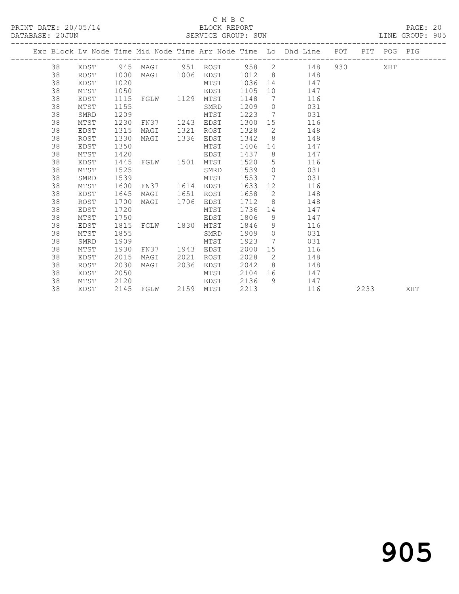### C M B C<br>BLOCK REPORT

PAGE: 20<br>LINE GROUP: 905

|    |      |      |                     |      |      |      |                 | Exc Block Lv Node Time Mid Node Time Arr Node Time Lo Dhd Line POT PIT POG PIG |           |      |     |     |
|----|------|------|---------------------|------|------|------|-----------------|--------------------------------------------------------------------------------|-----------|------|-----|-----|
| 38 |      |      |                     |      |      |      |                 | EDST 945 MAGI 951 ROST 958 2 148                                               | 930 — 100 |      | XHT |     |
| 38 | ROST | 1000 | MAGI 1006 EDST      |      |      |      |                 | 1012 8 148                                                                     |           |      |     |     |
| 38 | EDST | 1020 |                     |      | MTST | 1036 |                 | 14 \,<br>147                                                                   |           |      |     |     |
| 38 | MTST | 1050 |                     |      | EDST | 1105 | 10              | 147                                                                            |           |      |     |     |
| 38 | EDST | 1115 | FGLW 1129           |      | MTST | 1148 |                 | 7<br>116                                                                       |           |      |     |     |
| 38 | MTST | 1155 |                     |      | SMRD | 1209 |                 | 031<br>$\overline{0}$                                                          |           |      |     |     |
| 38 | SMRD | 1209 |                     |      | MTST | 1223 | $7\overline{ }$ | 031                                                                            |           |      |     |     |
| 38 | MTST | 1230 | FN37 1243           |      | EDST | 1300 |                 | 15<br>116                                                                      |           |      |     |     |
| 38 | EDST | 1315 | MAGI                | 1321 | ROST | 1328 | $\overline{2}$  | 148                                                                            |           |      |     |     |
| 38 | ROST | 1330 | MAGI                | 1336 | EDST | 1342 | 8               | 148                                                                            |           |      |     |     |
| 38 | EDST | 1350 |                     |      | MTST | 1406 |                 | 14 \,<br>147                                                                   |           |      |     |     |
| 38 | MTST | 1420 |                     |      | EDST | 1437 |                 | $8\degree$<br>147                                                              |           |      |     |     |
| 38 | EDST | 1445 | FGLW 1501           |      | MTST | 1520 | 5               | 116                                                                            |           |      |     |     |
| 38 | MTST | 1525 |                     |      | SMRD | 1539 | $\circ$         | 031                                                                            |           |      |     |     |
| 38 | SMRD | 1539 |                     |      | MTST | 1553 | 7               | 031                                                                            |           |      |     |     |
| 38 | MTST | 1600 | FN37 1614 EDST      |      |      | 1633 |                 | 12 and $\overline{a}$<br>116                                                   |           |      |     |     |
| 38 | EDST | 1645 | MAGI                | 1651 | ROST | 1658 |                 | $\overline{2}$<br>148                                                          |           |      |     |     |
| 38 | ROST | 1700 | MAGI 1706           |      | EDST | 1712 | 8 <sup>1</sup>  | 148                                                                            |           |      |     |     |
| 38 | EDST | 1720 |                     |      | MTST | 1736 | 14              | 147                                                                            |           |      |     |     |
| 38 | MTST | 1750 |                     |      | EDST | 1806 | 9               | 147                                                                            |           |      |     |     |
| 38 | EDST | 1815 | FGLW 1830           |      | MTST | 1846 | 9 <sup>°</sup>  | 116                                                                            |           |      |     |     |
| 38 | MTST | 1855 |                     |      | SMRD | 1909 |                 | 031<br>$\overline{0}$                                                          |           |      |     |     |
| 38 | SMRD | 1909 |                     |      | MTST | 1923 |                 | 7<br>031                                                                       |           |      |     |     |
| 38 | MTST | 1930 | FN37 1943 EDST      |      |      | 2000 | 15              | 116                                                                            |           |      |     |     |
| 38 | EDST | 2015 | MAGI                | 2021 | ROST | 2028 | 2               | 148                                                                            |           |      |     |     |
| 38 | ROST | 2030 | MAGI                | 2036 | EDST | 2042 |                 | 8<br>148                                                                       |           |      |     |     |
| 38 | EDST | 2050 |                     |      | MTST | 2104 |                 | 147                                                                            |           |      |     |     |
| 38 | MTST | 2120 |                     |      | EDST | 2136 |                 | 9 147                                                                          |           |      |     |     |
| 38 | EDST |      | 2145 FGLW 2159 MTST |      |      | 2213 |                 | 116                                                                            |           | 2233 |     | XHT |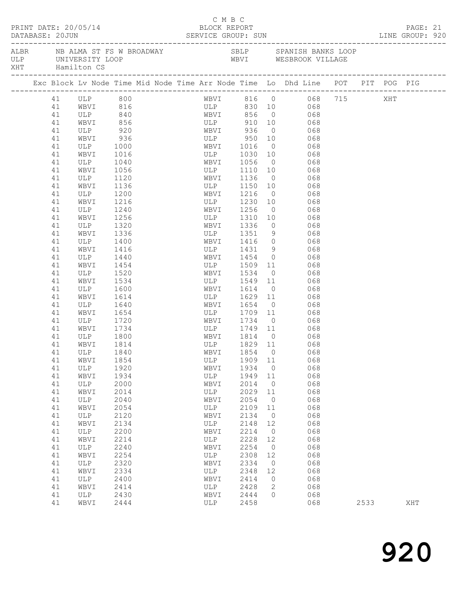| PRINT DATE: 20/05/14<br>DATABASE: 20JUN SERVICE GROUP: SUN LINE GROUP: 920<br>DATABASE: 20JUN |          |                                |              |  | C M B C<br>BLOCK REPORT |                                         |              |                |                                                                                |      | PAGE: 21 |     |  |
|-----------------------------------------------------------------------------------------------|----------|--------------------------------|--------------|--|-------------------------|-----------------------------------------|--------------|----------------|--------------------------------------------------------------------------------|------|----------|-----|--|
|                                                                                               |          | XHT Hamilton CS                |              |  |                         |                                         |              |                |                                                                                |      |          |     |  |
|                                                                                               |          |                                |              |  |                         |                                         |              |                | Exc Block Lv Node Time Mid Node Time Arr Node Time Lo Dhd Line POT PIT POG PIG |      |          |     |  |
|                                                                                               | 41       | ULP 800<br>WBVI 816<br>ULP 840 |              |  |                         |                                         |              |                | WBVI 816 0 068 715                                                             |      | XHT      |     |  |
|                                                                                               | 41       |                                |              |  |                         |                                         |              |                |                                                                                |      |          |     |  |
|                                                                                               | 41       |                                |              |  |                         |                                         |              |                | ULP 830 10 068<br>WBVI 856 0 068                                               |      |          |     |  |
|                                                                                               | 41       | WBVI                           | 856          |  |                         |                                         |              |                | ULP 910 10 068                                                                 |      |          |     |  |
|                                                                                               | 41       | ULP                            | 920          |  |                         | WBVI 936                                |              |                | $0 \qquad 068$                                                                 |      |          |     |  |
|                                                                                               | 41       | WBVI                           | 936          |  |                         |                                         |              |                | 950  10  068<br>1016  0  068                                                   |      |          |     |  |
|                                                                                               | 41       | ULP                            | 1000         |  |                         |                                         |              |                |                                                                                |      |          |     |  |
|                                                                                               | 41       | WBVI                           | 1016         |  |                         |                                         |              |                | ULP 1030 10 068                                                                |      |          |     |  |
|                                                                                               | 41       | ULP                            | 1040         |  |                         | WBVI                                    | 1056         |                | $0$ 068                                                                        |      |          |     |  |
|                                                                                               | 41       | WBVI                           | 1056         |  |                         | ULP 1110 10<br>WBVI 1136 0              |              |                | 068                                                                            |      |          |     |  |
|                                                                                               | 41       | ULP                            | 1120         |  |                         |                                         |              |                | 068                                                                            |      |          |     |  |
|                                                                                               | 41       | WBVI                           | 1136         |  |                         |                                         |              |                | ULP 1150 10 068                                                                |      |          |     |  |
|                                                                                               | 41       | ULP                            | 1200         |  |                         | WBVI 1216<br>Wbv<br>ULP 1256<br>TT 1256 |              |                | 0 068                                                                          |      |          |     |  |
|                                                                                               | 41       | WBVI                           | 1216         |  |                         |                                         | 1230 10      |                | 068                                                                            |      |          |     |  |
|                                                                                               | 41       | ULP                            | 1240         |  |                         |                                         |              | $\overline{0}$ | 068                                                                            |      |          |     |  |
|                                                                                               | 41       | WBVI                           | 1256         |  |                         |                                         |              |                | ULP 1310 10 068                                                                |      |          |     |  |
|                                                                                               | 41       | ULP                            | 1320         |  |                         | WBVI 1336                               |              |                | 0 068                                                                          |      |          |     |  |
|                                                                                               | 41       | WBVI                           | 1336         |  |                         | ULP 1351 9<br>WBVI 1416 0               |              |                | 9068                                                                           |      |          |     |  |
|                                                                                               | 41<br>41 | ULP                            | 1400         |  |                         |                                         |              |                | 068<br>ULP 1431 9 068                                                          |      |          |     |  |
|                                                                                               | 41       | WBVI<br>ULP                    | 1416<br>1440 |  |                         | WBVI 1454                               |              |                | $0$ 068                                                                        |      |          |     |  |
|                                                                                               | 41       | WBVI                           | 1454         |  |                         | ULP                                     | 1509         |                |                                                                                |      |          |     |  |
|                                                                                               | 41       | ULP                            | 1520         |  |                         | WBVI                                    | 1534         | $\overline{0}$ | 11 068<br>068                                                                  |      |          |     |  |
|                                                                                               | 41       | WBVI                           | 1534         |  |                         |                                         |              |                | ULP 1549 11 068                                                                |      |          |     |  |
|                                                                                               | 41       | ULP                            | 1600         |  |                         | WBVI 1614                               |              |                | $0$ 068                                                                        |      |          |     |  |
|                                                                                               | 41       | WBVI                           | 1614         |  |                         | ULP 1629                                |              |                | 11 068                                                                         |      |          |     |  |
|                                                                                               | 41       | ULP                            | 1640         |  |                         | WBVI                                    | 1654         | $\overline{0}$ | 068                                                                            |      |          |     |  |
|                                                                                               | 41       | WBVI                           | 1654         |  |                         | WDV1 1094 0<br>ULP 1709 11              |              |                | 068                                                                            |      |          |     |  |
|                                                                                               | 41       | ULP                            | 1720         |  |                         | WBVI 1734                               |              |                | $0$ 068                                                                        |      |          |     |  |
|                                                                                               | 41       | WBVI                           | 1734         |  |                         | ULP                                     |              |                | 1749 11 068                                                                    |      |          |     |  |
|                                                                                               | 41       | ULP                            | 1800         |  |                         | WBVI                                    | 1814 0       |                | 068                                                                            |      |          |     |  |
|                                                                                               | 41       | WBVI                           | 1814         |  |                         | WBV1 1014 0<br>ULP 1829 11              |              |                | 068                                                                            |      |          |     |  |
|                                                                                               |          | 41 ULP 1840                    |              |  |                         |                                         |              |                | WBVI 1854 0 068                                                                |      |          |     |  |
|                                                                                               | 41       | WBVI                           | 1854         |  |                         | ULP                                     | 1909         | 11             | 068                                                                            |      |          |     |  |
|                                                                                               | 41       | ULP                            | 1920         |  |                         | WBVI                                    | 1934         | $\overline{0}$ | 068                                                                            |      |          |     |  |
|                                                                                               | 41       | WBVI                           | 1934         |  |                         | ULP                                     | 1949         | 11             | 068                                                                            |      |          |     |  |
|                                                                                               | 41       | ULP                            | 2000         |  |                         | WBVI                                    | 2014         | $\overline{0}$ | 068                                                                            |      |          |     |  |
|                                                                                               | 41       | WBVI                           | 2014         |  |                         | ULP                                     | 2029         | 11             | 068                                                                            |      |          |     |  |
|                                                                                               | 41       | ULP                            | 2040         |  |                         | WBVI                                    | 2054         | $\overline{0}$ | 068                                                                            |      |          |     |  |
|                                                                                               | 41       | WBVI                           | 2054         |  |                         | ULP                                     | 2109         | 11             | 068                                                                            |      |          |     |  |
|                                                                                               | 41       | ULP                            | 2120         |  |                         | WBVI                                    | 2134         | $\overline{0}$ | 068                                                                            |      |          |     |  |
|                                                                                               | 41       | WBVI                           | 2134         |  |                         | ULP                                     | 2148         | 12             | 068                                                                            |      |          |     |  |
|                                                                                               | 41       | ULP                            | 2200         |  |                         | WBVI                                    | 2214         | $\overline{0}$ | 068                                                                            |      |          |     |  |
|                                                                                               | 41       | WBVI                           | 2214         |  |                         | ULP                                     | 2228         | 12             | 068                                                                            |      |          |     |  |
|                                                                                               | 41       | ULP                            | 2240         |  |                         | WBVI                                    | 2254         | $\overline{0}$ | 068                                                                            |      |          |     |  |
|                                                                                               | 41       | WBVI                           | 2254         |  |                         | ULP                                     | 2308         | 12             | 068                                                                            |      |          |     |  |
|                                                                                               | 41       | ULP                            | 2320         |  |                         | WBVI                                    | 2334         | $\circ$        | 068                                                                            |      |          |     |  |
|                                                                                               | 41       | WBVI                           | 2334         |  |                         | ULP                                     | 2348         | 12             | 068                                                                            |      |          |     |  |
|                                                                                               | 41       | ULP                            | 2400         |  |                         | WBVI                                    | 2414         | $\circ$        | 068                                                                            |      |          |     |  |
|                                                                                               | 41<br>41 | WBVI                           | 2414         |  |                         | ULP<br>WBVI                             | 2428<br>2444 | 2<br>$\Omega$  | 068<br>068                                                                     |      |          |     |  |
|                                                                                               | 41       | ULP<br>WBVI                    | 2430<br>2444 |  |                         | ULP                                     | 2458         |                | 068                                                                            | 2533 |          | XHT |  |
|                                                                                               |          |                                |              |  |                         |                                         |              |                |                                                                                |      |          |     |  |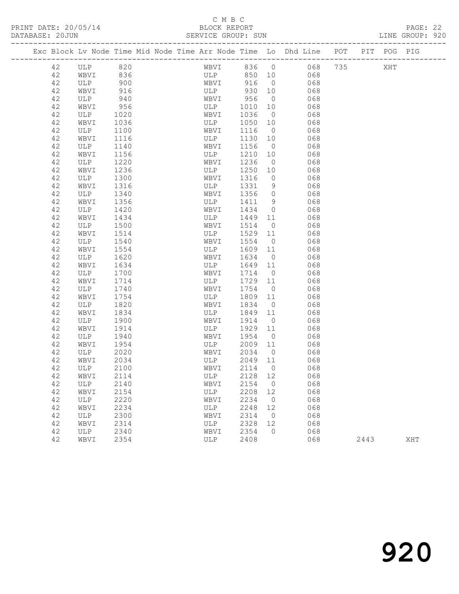### C M B C

|  | DATABASE: 20JUN |             |              |  | SERVICE GROUP: SUN |              |                      |                                                                                |      | LINE GROUP: 920 |  |
|--|-----------------|-------------|--------------|--|--------------------|--------------|----------------------|--------------------------------------------------------------------------------|------|-----------------|--|
|  |                 |             |              |  |                    |              |                      | Exc Block Lv Node Time Mid Node Time Arr Node Time Lo Dhd Line POT PIT POG PIG |      |                 |  |
|  | 42              | ULP 820     |              |  |                    |              |                      | WBVI 836 0 068 735 XHT                                                         |      |                 |  |
|  | 42              | WBVI 836    |              |  | ULP                |              |                      | 850 10<br>068                                                                  |      |                 |  |
|  | 42              | ULP         | 900          |  | WBVI 916           |              | $\overline{0}$       | 068                                                                            |      |                 |  |
|  | 42              | WBVI        | 916          |  | ULP                | 930          | 10                   | 068                                                                            |      |                 |  |
|  | 42              | ULP         | 940          |  | WBVI               | 956          | $\overline{0}$       | 068                                                                            |      |                 |  |
|  | 42              | WBVI        | 956          |  | ULP                | 1010         | 10                   | 068                                                                            |      |                 |  |
|  | 42              | ULP         | 1020         |  | WBVI               | 1036         | $\overline{0}$       | 068                                                                            |      |                 |  |
|  | 42              | WBVI        | 1036         |  | ULP                | 1050         | 10                   | 068                                                                            |      |                 |  |
|  | 42              | ULP         | 1100         |  | WBVI               | 1116         | $\overline{0}$       | 068                                                                            |      |                 |  |
|  | 42              | WBVI        | 1116         |  | ULP                | 1130         | 10                   | 068                                                                            |      |                 |  |
|  | 42              | ULP         | 1140         |  | WBVI               | 1156         | $\overline{0}$       | 068                                                                            |      |                 |  |
|  | 42              | WBVI        | 1156         |  | ULP                | 1210         | 10                   | 068                                                                            |      |                 |  |
|  | 42              | ULP         | 1220         |  | WBVI               | 1236         | $\overline{0}$       | 068                                                                            |      |                 |  |
|  | 42              | WBVI        | 1236         |  | ULP                | 1250         | 10                   | 068                                                                            |      |                 |  |
|  | 42              | ULP         | 1300         |  | WBVI               | 1316         | $\circ$              | 068                                                                            |      |                 |  |
|  | 42              | WBVI        | 1316         |  | ULP                | 1331         | 9                    | 068                                                                            |      |                 |  |
|  | 42              | ULP         | 1340         |  | WBVI               | 1356         | $\overline{0}$       | 068                                                                            |      |                 |  |
|  | 42              | WBVI        | 1356         |  | ULP                | 1411         | 9                    | 068                                                                            |      |                 |  |
|  | 42              | ULP         | 1420         |  | WBVI               | 1434         | $\overline{0}$       | 068                                                                            |      |                 |  |
|  | 42              | WBVI        | 1434         |  | ULP                | 1449         | 11                   | 068                                                                            |      |                 |  |
|  | 42              | ULP         | 1500         |  | WBVI               | 1514         | $\overline{0}$       | 068                                                                            |      |                 |  |
|  | 42              | WBVI        | 1514         |  | ULP                | 1529         | 11                   | 068                                                                            |      |                 |  |
|  | 42              | ULP         | 1540         |  | WBVI               | 1554         | $\overline{0}$       | 068                                                                            |      |                 |  |
|  | 42              | WBVI        | 1554<br>1620 |  | ULP<br>WBVI        | 1609         | 11<br>$\overline{0}$ | 068                                                                            |      |                 |  |
|  | 42<br>42        | ULP         |              |  | ULP                | 1634         | 11                   | 068                                                                            |      |                 |  |
|  | 42              | WBVI        | 1634<br>1700 |  |                    | 1649<br>1714 | $\overline{0}$       | 068<br>068                                                                     |      |                 |  |
|  | 42              | ULP<br>WBVI | 1714         |  | WBVI<br>ULP        | 1729         | 11                   | 068                                                                            |      |                 |  |
|  | 42              | ULP         | 1740         |  | WBVI               | 1754         | $\overline{0}$       | 068                                                                            |      |                 |  |
|  | 42              | WBVI        | 1754         |  | ULP                | 1809         | 11                   | 068                                                                            |      |                 |  |
|  | 42              | ULP         | 1820         |  | WBVI               | 1834         | $\overline{0}$       | 068                                                                            |      |                 |  |
|  | 42              | WBVI        | 1834         |  | ULP                | 1849         | 11                   | 068                                                                            |      |                 |  |
|  | 42              | ULP         | 1900         |  | WBVI               | 1914         | $\overline{0}$       | 068                                                                            |      |                 |  |
|  | 42              | WBVI        | 1914         |  | ULP                | 1929         | 11                   | 068                                                                            |      |                 |  |
|  | 42              | ULP         | 1940         |  | WBVI               | 1954         | $\overline{0}$       | 068                                                                            |      |                 |  |
|  | 42              | WBVI        | 1954         |  | ULP                | 2009         | 11                   | 068                                                                            |      |                 |  |
|  | 42              | ULP         | 2020         |  | WBVI               | 2034         | $\overline{0}$       | 068                                                                            |      |                 |  |
|  | 42              | WBVI        | 2034         |  | ULP                | 2049 11      |                      | 068                                                                            |      |                 |  |
|  | 42              | ULP         | 2100         |  |                    |              |                      | WBVI 2114 0 068                                                                |      |                 |  |
|  | 42              | WBVI        | 2114         |  | ULP                | 2128 12      |                      | 068                                                                            |      |                 |  |
|  | 42              | ULP         | 2140         |  | WBVI               | 2154         | $\overline{0}$       | 068                                                                            |      |                 |  |
|  | 42              | WBVI        | 2154         |  | ULP                | 2208         | 12                   | 068                                                                            |      |                 |  |
|  | 42              | ULP         | 2220         |  | WBVI               | 2234         | $\overline{0}$       | 068                                                                            |      |                 |  |
|  | 42              | WBVI        | 2234         |  | ULP                | 2248         | 12                   | 068                                                                            |      |                 |  |
|  | 42              | ULP         | 2300         |  | WBVI               | 2314         | $\overline{0}$       | 068                                                                            |      |                 |  |
|  | 42              | WBVI        | 2314         |  | ULP                | 2328         | 12                   | 068                                                                            |      |                 |  |
|  | 42              | ULP         | 2340         |  | WBVI               | 2354         | $\overline{0}$       | 068                                                                            |      |                 |  |
|  | 42              | WBVI        | 2354         |  | ULP                | 2408         |                      | 068                                                                            | 2443 | XHT             |  |
|  |                 |             |              |  |                    |              |                      |                                                                                |      |                 |  |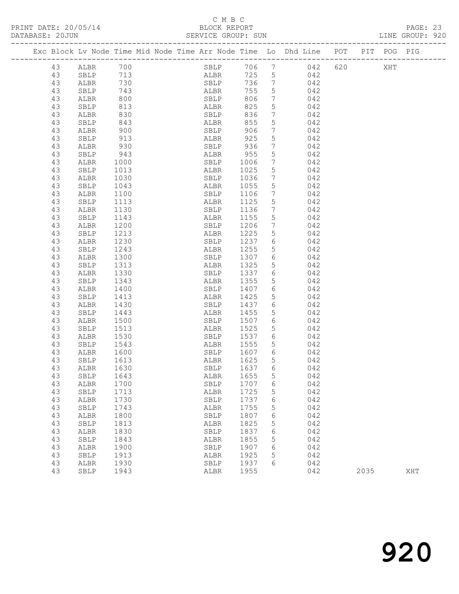# C M B C<br>BLOCK REPORT<br>SERVICE GROUP: SUN

| DATABASE: 20JUN |    |              |              |                                                                                |           |                 |                       |         |      | LINE GROUP: 920 |  |
|-----------------|----|--------------|--------------|--------------------------------------------------------------------------------|-----------|-----------------|-----------------------|---------|------|-----------------|--|
|                 |    |              |              | Exc Block Lv Node Time Mid Node Time Arr Node Time Lo Dhd Line POT PIT POG PIG |           |                 |                       |         |      |                 |  |
|                 | 43 | ALBR 700     |              |                                                                                |           |                 | SBLP 706 7 042        | 620 XHT |      |                 |  |
|                 | 43 | SBLP 713     |              | ALBR                                                                           |           |                 | 725 5 042             |         |      |                 |  |
|                 | 43 | ALBR         | 730          | SBLP                                                                           |           |                 | 736 7 042             |         |      |                 |  |
|                 | 43 | SBLP         | 743          | ALBR                                                                           | 755       | 5 <sup>5</sup>  | 042                   |         |      |                 |  |
|                 | 43 | ALBR         | 800          | ALBR<br>SBLP                                                                   | 806       | $7\overline{ }$ | 042                   |         |      |                 |  |
|                 | 43 | SBLP         | 813          | <b>ALBR</b>                                                                    | 825       | $5\overline{)}$ | 042                   |         |      |                 |  |
|                 | 43 | ALBR         | 830          | SBLP                                                                           | 836       |                 | $7 \qquad 042$        |         |      |                 |  |
|                 | 43 | SBLP         | 843          | ALBR                                                                           | 855       | 5 <sup>5</sup>  | 042                   |         |      |                 |  |
|                 | 43 | ALBR         | 900          | SBLP                                                                           | 906       | $7\overline{ }$ | 042                   |         |      |                 |  |
|                 | 43 | SBLP         | 913          | ALBR                                                                           | 925       | 5               | 042                   |         |      |                 |  |
|                 | 43 | ALBR         | 930          | SBLP                                                                           | 936       | $7\overline{ }$ | 042                   |         |      |                 |  |
|                 | 43 | SBLP         | 943          | ALBR 955<br>SBLP 1006                                                          |           | 5               | 042                   |         |      |                 |  |
|                 | 43 | ALBR         | 1000         |                                                                                |           | $7\overline{ }$ | 042                   |         |      |                 |  |
|                 | 43 | SBLP         | 1013         | ALBR                                                                           | 1025      | $5\overline{)}$ | 042                   |         |      |                 |  |
|                 | 43 | ALBR         | 1030         | SBLP 1036                                                                      |           | 7 <sup>7</sup>  | 042                   |         |      |                 |  |
|                 | 43 | SBLP         | 1043<br>1100 | ALBR                                                                           | 1055      | $5\overline{)}$ | 042                   |         |      |                 |  |
|                 | 43 | ALBR         |              | SBLP                                                                           | 1106      | $7\overline{ }$ | 042                   |         |      |                 |  |
|                 | 43 | SBLP         | 1113         | ALBR                                                                           | 1125      | 5               | 042                   |         |      |                 |  |
|                 | 43 | ALBR         | 1130         | SBLP                                                                           | 1136      | $\overline{7}$  | 042                   |         |      |                 |  |
|                 | 43 | SBLP         | 1143         | ALBR                                                                           | 1155      | $5\overline{)}$ | 042                   |         |      |                 |  |
|                 | 43 | ALBR         | 1200         | SBLP                                                                           | 1206      | $7\phantom{.0}$ | 042                   |         |      |                 |  |
|                 | 43 | SBLP         | 1213         | ALBR                                                                           | 1225      | 5 <sup>5</sup>  | 042                   |         |      |                 |  |
|                 | 43 | ALBR         | 1230         | SBLP                                                                           | 1237      |                 | 6 042                 |         |      |                 |  |
|                 | 43 | SBLP         | 1243         | ALBR                                                                           | 1255      | 5 <sup>5</sup>  | 042                   |         |      |                 |  |
|                 | 43 | ALBR         | 1300         | SBLP                                                                           | 1307      | 6               | 042                   |         |      |                 |  |
|                 | 43 | SBLP         | 1313         | ALBR                                                                           | 1325      | 5 <sup>5</sup>  | 042                   |         |      |                 |  |
|                 | 43 | ALBR         | 1330         |                                                                                | SBLP 1337 |                 | 6 042                 |         |      |                 |  |
|                 | 43 | SBLP         | 1343         | ALBR                                                                           | 1355      | 5 <sup>5</sup>  | 042                   |         |      |                 |  |
|                 | 43 | ALBR         | 1400         | SBLP                                                                           | 1407      | 6               | 042                   |         |      |                 |  |
|                 | 43 | SBLP         | 1413         | ALBR                                                                           | 1425      | 5 <sup>5</sup>  | 042                   |         |      |                 |  |
|                 | 43 | ALBR         | 1430         | SBLP                                                                           | 1437      | 6               | 042                   |         |      |                 |  |
|                 | 43 | SBLP         | 1443         | ALBR                                                                           | 1455      | 5 <sup>5</sup>  | 042                   |         |      |                 |  |
|                 | 43 | ALBR         | 1500         | SBLP                                                                           | 1507      | 6               | 042                   |         |      |                 |  |
|                 | 43 | SBLP         | 1513         | ALBR                                                                           | 1525      | 5 <sup>5</sup>  | 042                   |         |      |                 |  |
|                 | 43 | ALBR         | 1530         |                                                                                |           |                 | SBLP 1537 6 042       |         |      |                 |  |
|                 | 43 | SBLP         | 1543         | ALBR                                                                           | 1555      |                 | 5 <sub>5</sub><br>042 |         |      |                 |  |
|                 | 43 | ALBR         | 1600<br>1613 | SBLP                                                                           | 1607 6    |                 | 042                   |         |      |                 |  |
|                 | 43 | SBLP         |              | ALBR                                                                           | 1625      | 5               | 042                   |         |      |                 |  |
|                 | 43 | ALBR 1630    |              | SBLP 1637 6                                                                    |           |                 | 042                   |         |      |                 |  |
|                 | 43 | SBLP         | 1643         | ALBR                                                                           | 1655      | 5               | 042                   |         |      |                 |  |
|                 | 43 | ${\tt ALBR}$ | 1700         | SBLP                                                                           | 1707      | 6               | 042                   |         |      |                 |  |
|                 | 43 | SBLP         | 1713         | ALBR                                                                           | 1725      | 5               | 042                   |         |      |                 |  |
|                 | 43 | ALBR         | 1730         | SBLP                                                                           | 1737      | 6               | 042                   |         |      |                 |  |
|                 | 43 | SBLP         | 1743         | ALBR                                                                           | 1755      | 5               | 042                   |         |      |                 |  |
|                 | 43 | ALBR         | 1800         | SBLP                                                                           | 1807      | 6               | 042                   |         |      |                 |  |
|                 | 43 | SBLP         | 1813         | ALBR                                                                           | 1825      | 5               | 042                   |         |      |                 |  |
|                 | 43 | ${\tt ALBR}$ | 1830         | SBLP                                                                           | 1837      | 6               | 042                   |         |      |                 |  |
|                 | 43 | SBLP         | 1843         | ALBR                                                                           | 1855      | 5               | 042                   |         |      |                 |  |
|                 | 43 | ALBR         | 1900         | SBLP                                                                           | 1907      | 6               | 042                   |         |      |                 |  |
|                 | 43 | SBLP         | 1913         | ALBR                                                                           | 1925      | 5               | 042                   |         |      |                 |  |
|                 | 43 | ${\tt ALBR}$ | 1930         | SBLP                                                                           | 1937      | 6               | 042                   |         |      |                 |  |
|                 | 43 | SBLP         | 1943         | ALBR                                                                           | 1955      |                 | 042                   |         | 2035 | XHT             |  |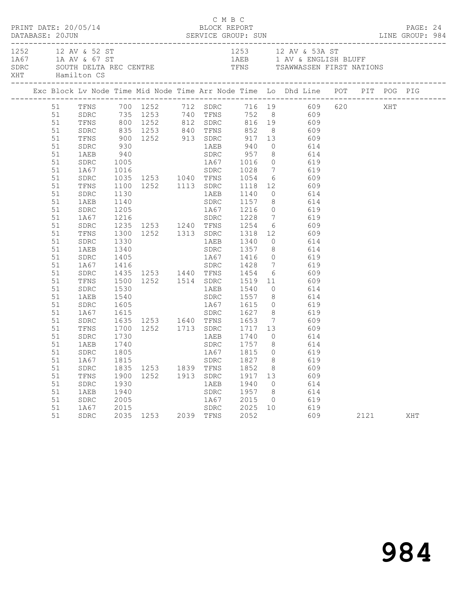| PRINT DATE: 20/05/14                                                                                                                   |                                                                                                                                                                                      |                                                              |                   |      | C M B C                                                   | BLOCK REPORT                                         |                                                               | DATABASE: 20JUN SERVICE GROUP: SUN LINE GROUP: 984                                                                                                                                                                                                                                                                                                                                                                                                                                                                                                                                                                                                                                |      | PAGE: 24 |  |
|----------------------------------------------------------------------------------------------------------------------------------------|--------------------------------------------------------------------------------------------------------------------------------------------------------------------------------------|--------------------------------------------------------------|-------------------|------|-----------------------------------------------------------|------------------------------------------------------|---------------------------------------------------------------|-----------------------------------------------------------------------------------------------------------------------------------------------------------------------------------------------------------------------------------------------------------------------------------------------------------------------------------------------------------------------------------------------------------------------------------------------------------------------------------------------------------------------------------------------------------------------------------------------------------------------------------------------------------------------------------|------|----------|--|
| XHT Hamilton CS                                                                                                                        |                                                                                                                                                                                      |                                                              |                   |      |                                                           |                                                      |                                                               | 1252 12 AV & 52 ST<br>1A67 1A AV & 67 ST<br>SOUTH DELTA REC CENTRE TENS TRIS TO THE TENS TRAWWASSEN FIRST NATIONS                                                                                                                                                                                                                                                                                                                                                                                                                                                                                                                                                                 |      |          |  |
|                                                                                                                                        |                                                                                                                                                                                      |                                                              |                   |      |                                                           |                                                      |                                                               |                                                                                                                                                                                                                                                                                                                                                                                                                                                                                                                                                                                                                                                                                   |      |          |  |
| 51<br>51<br>51<br>51<br>51<br>51<br>51<br>51<br>51<br>51<br>51<br>51<br>51<br>51<br>51<br>51<br>51<br>51<br>51<br>51<br>51<br>51<br>51 | SDRC<br>TFNS<br>SDRC<br>1AEB<br>SDRC<br>1A67<br>SDRC<br>TFNS<br>SDRC<br>1AEB<br>SDRC<br>1A67<br>SDRC<br>TFNS<br>SDRC<br>1AEB<br>SDRC<br>1A67<br>SDRC<br>TFNS<br>SDRC<br>1AEB<br>SDRC | 1130<br>1530                                                 | 1AEB 1540         |      |                                                           |                                                      |                                                               | 51 TFNS 700 1252 712 SDRC 716 19 609 620 XHT<br>51 SDRC 735 1253 740 TFNS 752 8 609<br>51 TFNS 800 1252 812 SDRC 816 19 609<br>835 1253 840 TFNS 852 8 609<br>900 1252 913 SDRC 917 13 609<br>930 1AEB 940 0 614<br>940 SDRC 957 8 614<br>1005 11667 1016 0 619<br>1016 5DRC 1028 7 619<br>1035 1253 1040 TFNS 1054 6 609<br>1100 1252 1113 SDRC 1118 12 609<br>1AEB 1140 0 614<br>SDRC 1157 8 614<br>1A67 1216 0 619<br>1140<br>1205<br>1216<br>1216<br>1216<br>1228 7 619<br>1235 1253 1240 TFNS 1254 6 609<br>1300 1252 1313 SDRC 1318 12 609<br>1330 1AEB 1340 0 614<br>1405<br>1416 1428 7 619<br>1435 1253 1440 TFNS 1454 6 609<br>1500 1252 1514 SDRC 1519 11 609<br>0 614 |      |          |  |
| 51<br>51<br>51<br>51<br>51<br>51<br>51<br>51<br>51<br>51<br>51<br>51                                                                   | 1A67<br>SDRC<br>TFNS<br>SDRC<br>1AEB<br>1A67<br>SDRC<br>TFNS<br>SDRC<br>1AEB<br>SDRC<br>1A67                                                                                         | 1730<br>1740<br>1815<br>1900<br>1930<br>1940<br>2005<br>2015 | 1835 1253<br>1252 | 1913 | SDRC<br>1839 TFNS<br>SDRC<br>1AEB<br>SDRC<br>1A67<br>SDRC | 1827<br>1852<br>1917<br>1940<br>1957<br>2015<br>2025 | 8<br>8<br>13<br>$\overline{0}$<br>- 8<br>$\overline{0}$<br>10 | 1635 1253 1640 TFNS 1653 7 609<br>1700 1252 1713 SDRC 1717 13 609<br>1AEB 1740 0 614<br>SDRC 1757 8 614<br>51 SDRC 1805 1867 1815 0 619<br>619<br>609<br>609<br>614<br>614<br>619<br>619                                                                                                                                                                                                                                                                                                                                                                                                                                                                                          |      |          |  |
| 51                                                                                                                                     | SDRC                                                                                                                                                                                 |                                                              | 2035 1253         |      | 2039 TFNS                                                 | 2052                                                 |                                                               | 609                                                                                                                                                                                                                                                                                                                                                                                                                                                                                                                                                                                                                                                                               | 2121 | XHT      |  |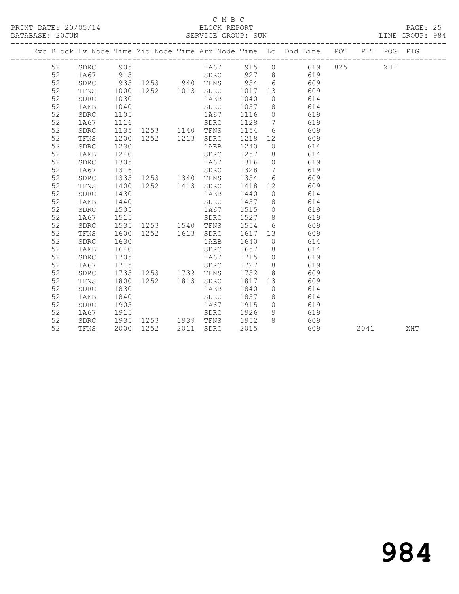#### C M B C<br>BLOCK REPORT SERVICE GROUP: SUN

|  |    |              |      |                   |      |      |        |                 | Exc Block Lv Node Time Mid Node Time Arr Node Time Lo Dhd Line POT PIT POG PIG |     |     |  |
|--|----|--------------|------|-------------------|------|------|--------|-----------------|--------------------------------------------------------------------------------|-----|-----|--|
|  | 52 | SDRC         | 905  |                   |      | 1A67 | 915    | $\circ$         | 619                                                                            | 825 | XHT |  |
|  | 52 | 1A67         | 915  |                   |      | SDRC | 927    |                 | $8 \overline{)}$<br>619                                                        |     |     |  |
|  | 52 | ${\tt SDRC}$ |      | 935 1253 940 TFNS |      |      | 954    |                 | $6\overline{6}$<br>609                                                         |     |     |  |
|  | 52 | TFNS         | 1000 | 1252  1013  SDRC  |      |      | 1017   | 13              | 609                                                                            |     |     |  |
|  | 52 | SDRC         | 1030 |                   |      | 1AEB | 1040   | $\overline{0}$  | 614                                                                            |     |     |  |
|  | 52 | 1AEB         | 1040 |                   |      | SDRC | 1057   | 8 <sup>8</sup>  | 614                                                                            |     |     |  |
|  | 52 | SDRC         | 1105 |                   |      | 1A67 | 1116   | $\overline{0}$  | 619                                                                            |     |     |  |
|  | 52 | 1A67         | 1116 |                   |      | SDRC | 1128   | $\overline{7}$  | 619                                                                            |     |     |  |
|  | 52 | SDRC         | 1135 | 1253 1140         |      | TFNS | 1154   | 6               | 609                                                                            |     |     |  |
|  | 52 | TFNS         | 1200 | 1252              | 1213 | SDRC | 1218   | 12 <sup>°</sup> | 609                                                                            |     |     |  |
|  | 52 | SDRC         | 1230 |                   |      | 1AEB | 1240   | $\circ$         | 614                                                                            |     |     |  |
|  | 52 | 1AEB         | 1240 |                   |      | SDRC | 1257   | 8               | 614                                                                            |     |     |  |
|  | 52 | SDRC         | 1305 |                   |      | 1A67 | 1316   | $\circ$         | 619                                                                            |     |     |  |
|  | 52 | 1A67         | 1316 |                   |      | SDRC | 1328   | $\overline{7}$  | 619                                                                            |     |     |  |
|  | 52 | SDRC         | 1335 | 1253 1340         |      | TFNS | 1354   | 6               | 609                                                                            |     |     |  |
|  | 52 | TFNS         | 1400 | 1252 1413         |      | SDRC | 1418   | 12              | 609                                                                            |     |     |  |
|  | 52 | SDRC         | 1430 |                   |      | 1AEB | 1440   | $\overline{0}$  | 614                                                                            |     |     |  |
|  | 52 | 1AEB         | 1440 |                   |      | SDRC | 1457 8 |                 | 614                                                                            |     |     |  |
|  | 52 | SDRC         | 1505 |                   |      | 1A67 | 1515   | $\overline{0}$  | 619                                                                            |     |     |  |
|  | 52 | 1A67         | 1515 |                   |      | SDRC | 1527 8 |                 | 619                                                                            |     |     |  |
|  | 52 | SDRC         | 1535 | 1253 1540         |      | TFNS | 1554   | 6               | 609                                                                            |     |     |  |
|  | 52 | TFNS         | 1600 | 1252              | 1613 | SDRC | 1617   | 13              | 609                                                                            |     |     |  |
|  | 52 | SDRC         | 1630 |                   |      | 1AEB | 1640   | $\circ$         | 614                                                                            |     |     |  |
|  | 52 | 1AEB         | 1640 |                   |      | SDRC | 1657   | 8 <sup>8</sup>  | 614                                                                            |     |     |  |
|  | 52 | SDRC         | 1705 |                   |      | 1A67 | 1715   | $\overline{0}$  | 619                                                                            |     |     |  |
|  | 52 | 1A67         | 1715 |                   |      | SDRC | 1727   | 8               | 619                                                                            |     |     |  |
|  | 52 | SDRC         | 1735 | 1253              | 1739 | TFNS | 1752   | 8               | 609                                                                            |     |     |  |
|  | 52 | TFNS         | 1800 | 1252              | 1813 | SDRC | 1817   | 13              | 609                                                                            |     |     |  |
|  | 52 | SDRC         | 1830 |                   |      | 1AEB | 1840   | $\overline{0}$  | 614                                                                            |     |     |  |
|  | 52 | 1AEB         | 1840 |                   |      | SDRC | 1857   | 8 <sup>8</sup>  | 614                                                                            |     |     |  |
|  | 52 | SDRC         | 1905 |                   |      | 1A67 | 1915   | $\cap$          | 619                                                                            |     |     |  |
|  | 52 | 1A67         | 1915 |                   |      | SDRC | 1926   | 9               | 619                                                                            |     |     |  |

52 SDRC 1935 1253 1939 TFNS 1952 8 609

52 TFNS 2000 1252 2011 SDRC 2015 609 2041 XHT